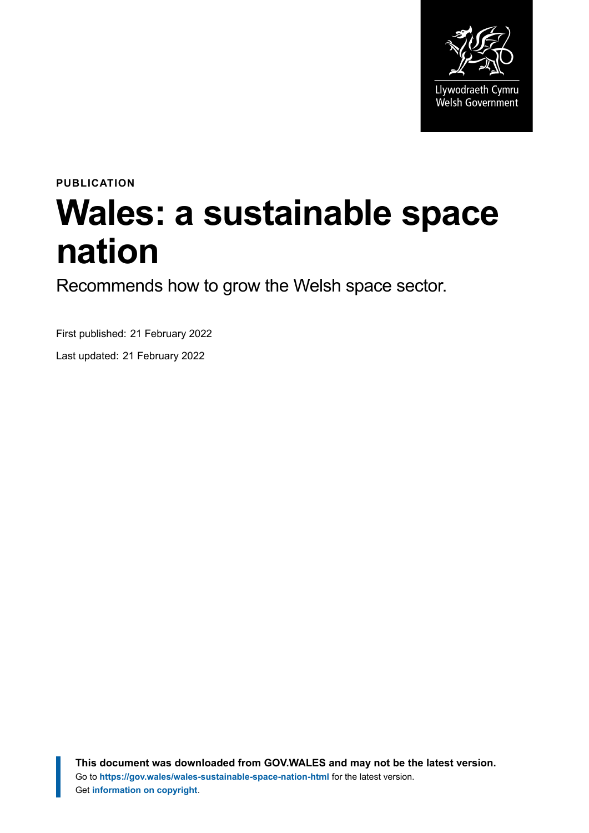

# **PUBLICATION Wales: a sustainable space nation**

Recommends how to grow the Welsh space sector.

First published: 21 February 2022

Last updated: 21 February 2022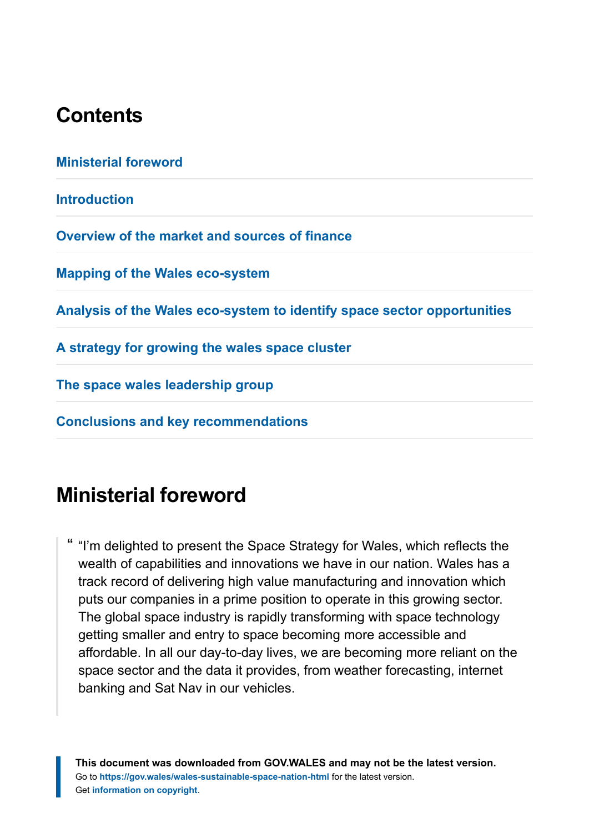# **Contents**

| <b>Ministerial foreword</b>                                             |
|-------------------------------------------------------------------------|
| <b>Introduction</b>                                                     |
| Overview of the market and sources of finance                           |
| <b>Mapping of the Wales eco-system</b>                                  |
| Analysis of the Wales eco-system to identify space sector opportunities |
| A strategy for growing the wales space cluster                          |
| The space wales leadership group                                        |
| <b>Conclusions and key recommendations</b>                              |
|                                                                         |

# <span id="page-1-0"></span>**Ministerial foreword**

" "I'm delighted to present the Space Strategy for Wales, which reflects the wealth of capabilities and innovations we have in our nation. Wales has a track record of delivering high value manufacturing and innovation which puts our companies in a prime position to operate in this growing sector. The global space industry is rapidly transforming with space technology getting smaller and entry to space becoming more accessible and affordable. In all our day-to-day lives, we are becoming more reliant on the space sector and the data it provides, from weather forecasting, internet banking and Sat Nav in our vehicles.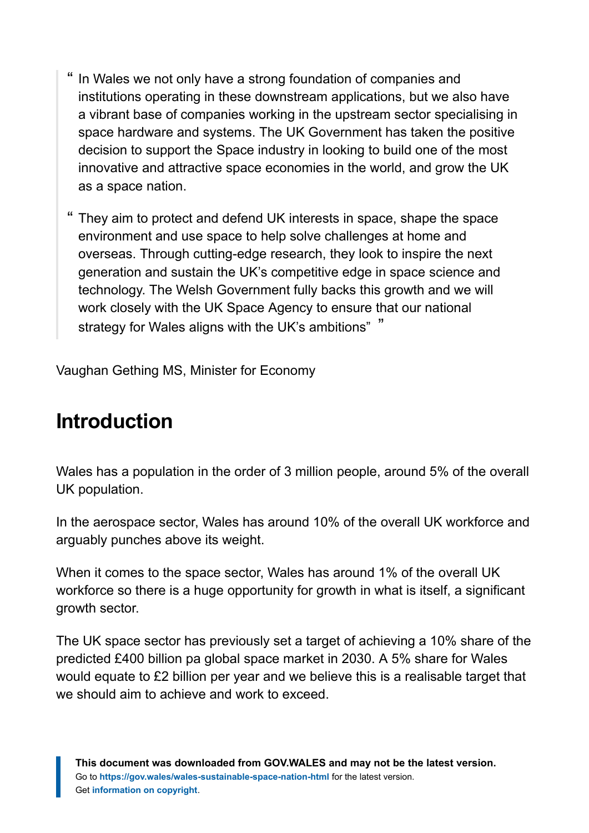- " In Wales we not only have a strong foundation of companies and institutions operating in these downstream applications, but we also have a vibrant base of companies working in the upstream sector specialising in space hardware and systems. The UK Government has taken the positive decision to support the Space industry in looking to build one of the most innovative and attractive space economies in the world, and grow the UK as a space nation.
- " They aim to protect and defend UK interests in space, shape the space environment and use space to help solve challenges at home and overseas. Through cutting-edge research, they look to inspire the next generation and sustain the UK's competitive edge in space science and technology. The Welsh Government fully backs this growth and we will work closely with the UK Space Agency to ensure that our national strategy for Wales aligns with the UK's ambitions" "

Vaughan Gething MS, Minister for Economy

# <span id="page-2-0"></span>**Introduction**

Wales has a population in the order of 3 million people, around 5% of the overall UK population.

In the aerospace sector, Wales has around 10% of the overall UK workforce and arguably punches above its weight.

When it comes to the space sector, Wales has around 1% of the overall UK workforce so there is a huge opportunity for growth in what is itself, a significant growth sector.

The UK space sector has previously set a target of achieving a 10% share of the predicted £400 billion pa global space market in 2030. A 5% share for Wales would equate to £2 billion per year and we believe this is a realisable target that we should aim to achieve and work to exceed.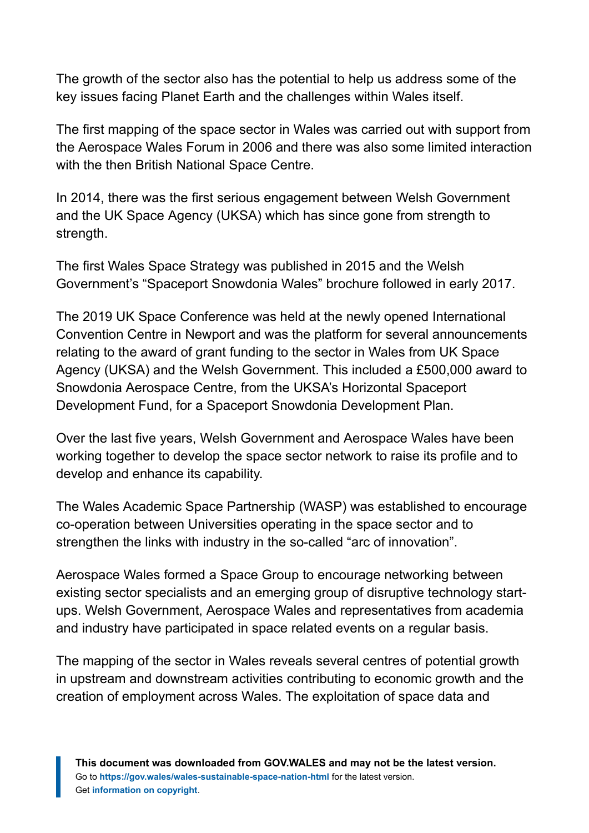The growth of the sector also has the potential to help us address some of the key issues facing Planet Earth and the challenges within Wales itself.

The first mapping of the space sector in Wales was carried out with support from the Aerospace Wales Forum in 2006 and there was also some limited interaction with the then British National Space Centre.

In 2014, there was the first serious engagement between Welsh Government and the UK Space Agency (UKSA) which has since gone from strength to strength.

The first Wales Space Strategy was published in 2015 and the Welsh Government's "Spaceport Snowdonia Wales" brochure followed in early 2017.

The 2019 UK Space Conference was held at the newly opened International Convention Centre in Newport and was the platform for several announcements relating to the award of grant funding to the sector in Wales from UK Space Agency (UKSA) and the Welsh Government. This included a £500,000 award to Snowdonia Aerospace Centre, from the UKSA's Horizontal Spaceport Development Fund, for a Spaceport Snowdonia Development Plan.

Over the last five years, Welsh Government and Aerospace Wales have been working together to develop the space sector network to raise its profile and to develop and enhance its capability.

The Wales Academic Space Partnership (WASP) was established to encourage co-operation between Universities operating in the space sector and to strengthen the links with industry in the so-called "arc of innovation".

Aerospace Wales formed a Space Group to encourage networking between existing sector specialists and an emerging group of disruptive technology startups. Welsh Government, Aerospace Wales and representatives from academia and industry have participated in space related events on a regular basis.

The mapping of the sector in Wales reveals several centres of potential growth in upstream and downstream activities contributing to economic growth and the creation of employment across Wales. The exploitation of space data and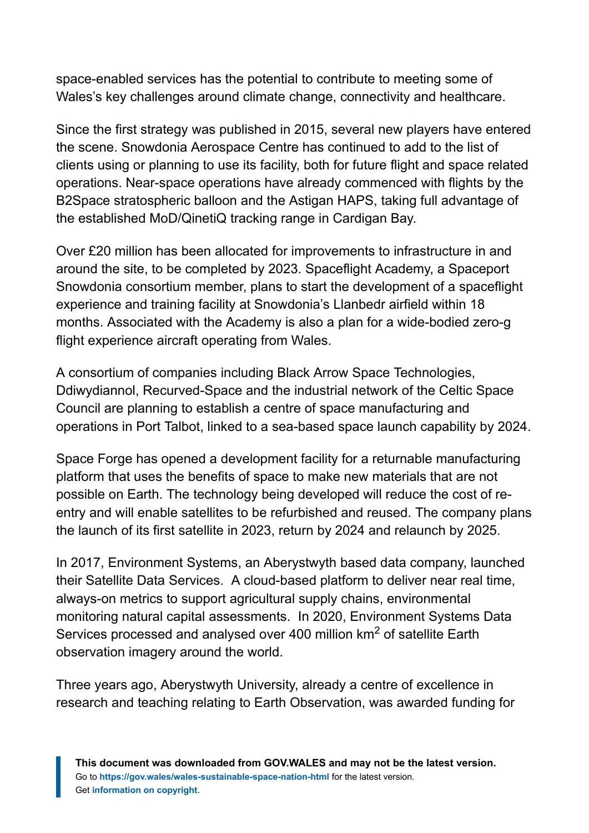space-enabled services has the potential to contribute to meeting some of Wales's key challenges around climate change, connectivity and healthcare.

Since the first strategy was published in 2015, several new players have entered the scene. Snowdonia Aerospace Centre has continued to add to the list of clients using or planning to use its facility, both for future flight and space related operations. Near-space operations have already commenced with flights by the B2Space stratospheric balloon and the Astigan HAPS, taking full advantage of the established MoD/QinetiQ tracking range in Cardigan Bay.

Over £20 million has been allocated for improvements to infrastructure in and around the site, to be completed by 2023. Spaceflight Academy, a Spaceport Snowdonia consortium member, plans to start the development of a spaceflight experience and training facility at Snowdonia's Llanbedr airfield within 18 months. Associated with the Academy is also a plan for a wide-bodied zero-g flight experience aircraft operating from Wales.

A consortium of companies including Black Arrow Space Technologies, Ddiwydiannol, Recurved-Space and the industrial network of the Celtic Space Council are planning to establish a centre of space manufacturing and operations in Port Talbot, linked to a sea-based space launch capability by 2024.

Space Forge has opened a development facility for a returnable manufacturing platform that uses the benefits of space to make new materials that are not possible on Earth. The technology being developed will reduce the cost of reentry and will enable satellites to be refurbished and reused. The company plans the launch of its first satellite in 2023, return by 2024 and relaunch by 2025.

In 2017, Environment Systems, an Aberystwyth based data company, launched their Satellite Data Services. A cloud-based platform to deliver near real time, always-on metrics to support agricultural supply chains, environmental monitoring natural capital assessments. In 2020, Environment Systems Data Services processed and analysed over 400 million km<sup>2</sup> of satellite Earth observation imagery around the world.

Three years ago, Aberystwyth University, already a centre of excellence in research and teaching relating to Earth Observation, was awarded funding for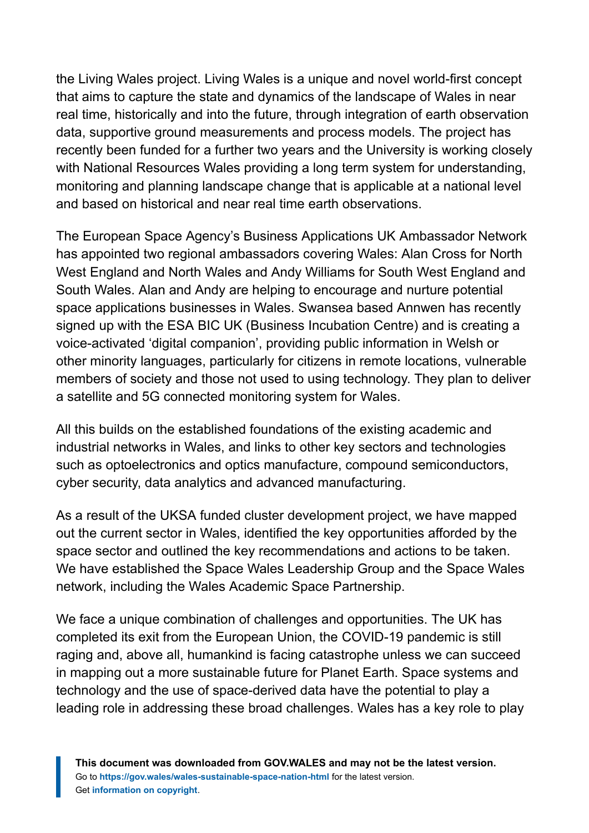the Living Wales project. Living Wales is a unique and novel world-first concept that aims to capture the state and dynamics of the landscape of Wales in near real time, historically and into the future, through integration of earth observation data, supportive ground measurements and process models. The project has recently been funded for a further two years and the University is working closely with National Resources Wales providing a long term system for understanding, monitoring and planning landscape change that is applicable at a national level and based on historical and near real time earth observations.

The European Space Agency's Business Applications UK Ambassador Network has appointed two regional ambassadors covering Wales: Alan Cross for North West England and North Wales and Andy Williams for South West England and South Wales. Alan and Andy are helping to encourage and nurture potential space applications businesses in Wales. Swansea based Annwen has recently signed up with the ESA BIC UK (Business Incubation Centre) and is creating a voice-activated 'digital companion', providing public information in Welsh or other minority languages, particularly for citizens in remote locations, vulnerable members of society and those not used to using technology. They plan to deliver a satellite and 5G connected monitoring system for Wales.

All this builds on the established foundations of the existing academic and industrial networks in Wales, and links to other key sectors and technologies such as optoelectronics and optics manufacture, compound semiconductors, cyber security, data analytics and advanced manufacturing.

As a result of the UKSA funded cluster development project, we have mapped out the current sector in Wales, identified the key opportunities afforded by the space sector and outlined the key recommendations and actions to be taken. We have established the Space Wales Leadership Group and the Space Wales network, including the Wales Academic Space Partnership.

We face a unique combination of challenges and opportunities. The UK has completed its exit from the European Union, the COVID-19 pandemic is still raging and, above all, humankind is facing catastrophe unless we can succeed in mapping out a more sustainable future for Planet Earth. Space systems and technology and the use of space-derived data have the potential to play a leading role in addressing these broad challenges. Wales has a key role to play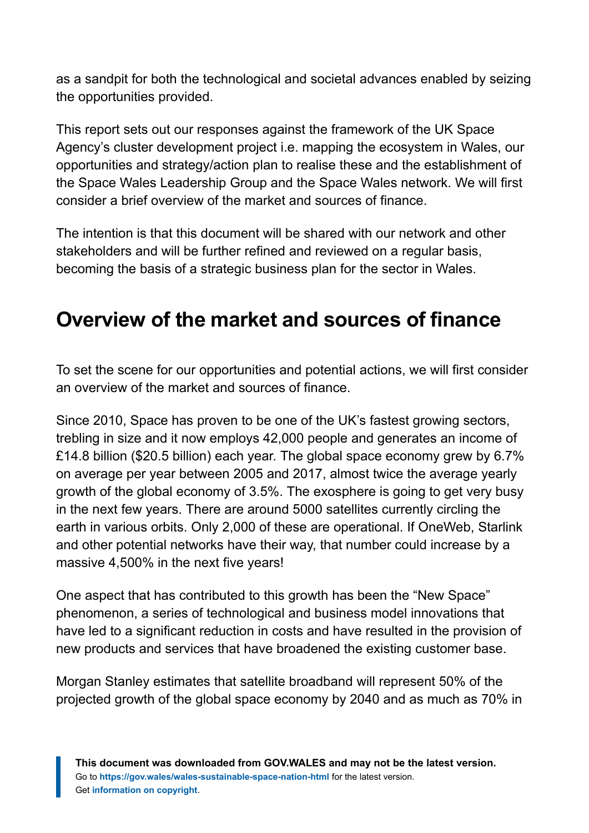as a sandpit for both the technological and societal advances enabled by seizing the opportunities provided.

This report sets out our responses against the framework of the UK Space Agency's cluster development project i.e. mapping the ecosystem in Wales, our opportunities and strategy/action plan to realise these and the establishment of the Space Wales Leadership Group and the Space Wales network. We will first consider a brief overview of the market and sources of finance.

The intention is that this document will be shared with our network and other stakeholders and will be further refined and reviewed on a regular basis, becoming the basis of a strategic business plan for the sector in Wales.

# <span id="page-6-0"></span>**Overview of the market and sources of finance**

To set the scene for our opportunities and potential actions, we will first consider an overview of the market and sources of finance.

Since 2010, Space has proven to be one of the UK's fastest growing sectors, trebling in size and it now employs 42,000 people and generates an income of £14.8 billion (\$20.5 billion) each year. The global space economy grew by 6.7% on average per year between 2005 and 2017, almost twice the average yearly growth of the global economy of 3.5%. The exosphere is going to get very busy in the next few years. There are around 5000 satellites currently circling the earth in various orbits. Only 2,000 of these are operational. If OneWeb, Starlink and other potential networks have their way, that number could increase by a massive 4,500% in the next five years!

One aspect that has contributed to this growth has been the "New Space" phenomenon, a series of technological and business model innovations that have led to a significant reduction in costs and have resulted in the provision of new products and services that have broadened the existing customer base.

Morgan Stanley estimates that satellite broadband will represent 50% of the projected growth of the global space economy by 2040 and as much as 70% in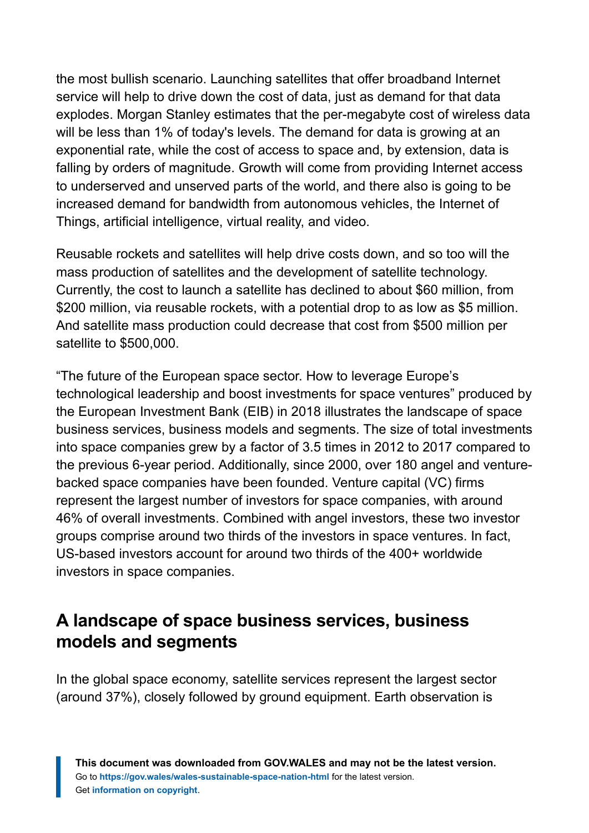the most bullish scenario. Launching satellites that offer broadband Internet service will help to drive down the cost of data, just as demand for that data explodes. Morgan Stanley estimates that the per-megabyte cost of wireless data will be less than 1% of today's levels. The demand for data is growing at an exponential rate, while the cost of access to space and, by extension, data is falling by orders of magnitude. Growth will come from providing Internet access to underserved and unserved parts of the world, and there also is going to be increased demand for bandwidth from autonomous vehicles, the Internet of Things, artificial intelligence, virtual reality, and video.

Reusable rockets and satellites will help drive costs down, and so too will the mass production of satellites and the development of satellite technology. Currently, the cost to launch a satellite has declined to about \$60 million, from \$200 million, via reusable rockets, with a potential drop to as low as \$5 million. And satellite mass production could decrease that cost from \$500 million per satellite to \$500,000.

"The future of the European space sector. How to leverage Europe's technological leadership and boost investments for space ventures" produced by the European Investment Bank (EIB) in 2018 illustrates the landscape of space business services, business models and segments. The size of total investments into space companies grew by a factor of 3.5 times in 2012 to 2017 compared to the previous 6-year period. Additionally, since 2000, over 180 angel and venturebacked space companies have been founded. Venture capital (VC) firms represent the largest number of investors for space companies, with around 46% of overall investments. Combined with angel investors, these two investor groups comprise around two thirds of the investors in space ventures. In fact, US-based investors account for around two thirds of the 400+ worldwide investors in space companies.

### **A landscape of space business services, business models and segments**

In the global space economy, satellite services represent the largest sector (around 37%), closely followed by ground equipment. Earth observation is

**This document was downloaded from GOV.WALES and may not be the latest version.** Go to **<https://gov.wales/wales-sustainable-space-nation-html>** for the latest version. Get **[information on copyright](https://gov.wales/copyright-statement)**.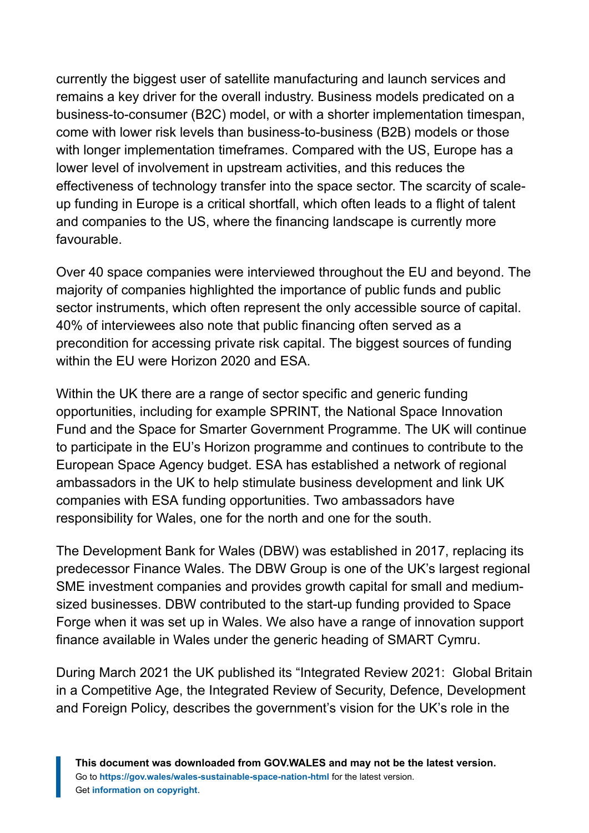currently the biggest user of satellite manufacturing and launch services and remains a key driver for the overall industry. Business models predicated on a business-to-consumer (B2C) model, or with a shorter implementation timespan, come with lower risk levels than business-to-business (B2B) models or those with longer implementation timeframes. Compared with the US, Europe has a lower level of involvement in upstream activities, and this reduces the effectiveness of technology transfer into the space sector. The scarcity of scaleup funding in Europe is a critical shortfall, which often leads to a flight of talent and companies to the US, where the financing landscape is currently more favourable.

Over 40 space companies were interviewed throughout the EU and beyond. The majority of companies highlighted the importance of public funds and public sector instruments, which often represent the only accessible source of capital. 40% of interviewees also note that public financing often served as a precondition for accessing private risk capital. The biggest sources of funding within the EU were Horizon 2020 and ESA.

Within the UK there are a range of sector specific and generic funding opportunities, including for example SPRINT, the National Space Innovation Fund and the Space for Smarter Government Programme. The UK will continue to participate in the EU's Horizon programme and continues to contribute to the European Space Agency budget. ESA has established a network of regional ambassadors in the UK to help stimulate business development and link UK companies with ESA funding opportunities. Two ambassadors have responsibility for Wales, one for the north and one for the south.

The Development Bank for Wales (DBW) was established in 2017, replacing its predecessor Finance Wales. The DBW Group is one of the UK's largest regional SME investment companies and provides growth capital for small and mediumsized businesses. DBW contributed to the start-up funding provided to Space Forge when it was set up in Wales. We also have a range of innovation support finance available in Wales under the generic heading of SMART Cymru.

During March 2021 the UK published its "Integrated Review 2021: Global Britain in a Competitive Age, the Integrated Review of Security, Defence, Development and Foreign Policy, describes the government's vision for the UK's role in the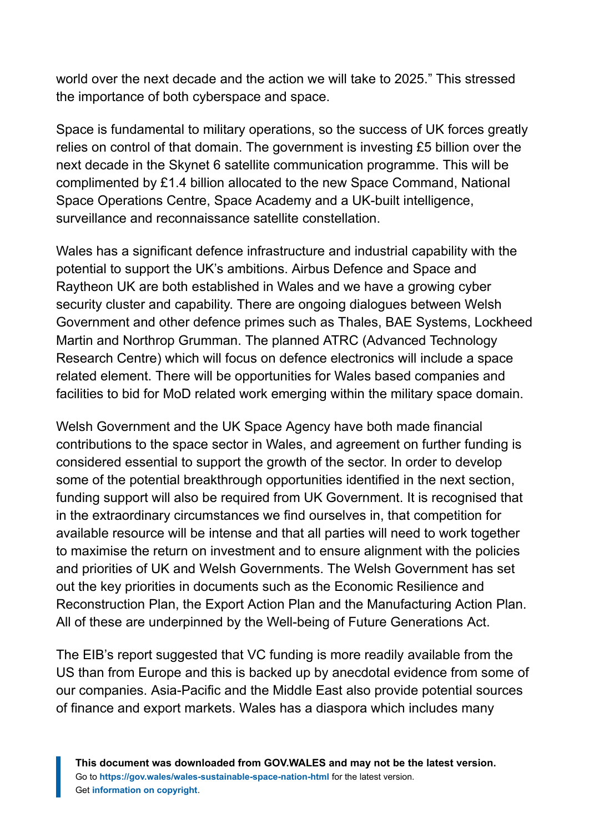world over the next decade and the action we will take to 2025." This stressed the importance of both cyberspace and space.

Space is fundamental to military operations, so the success of UK forces greatly relies on control of that domain. The government is investing £5 billion over the next decade in the Skynet 6 satellite communication programme. This will be complimented by £1.4 billion allocated to the new Space Command, National Space Operations Centre, Space Academy and a UK-built intelligence, surveillance and reconnaissance satellite constellation.

Wales has a significant defence infrastructure and industrial capability with the potential to support the UK's ambitions. Airbus Defence and Space and Raytheon UK are both established in Wales and we have a growing cyber security cluster and capability. There are ongoing dialogues between Welsh Government and other defence primes such as Thales, BAE Systems, Lockheed Martin and Northrop Grumman. The planned ATRC (Advanced Technology Research Centre) which will focus on defence electronics will include a space related element. There will be opportunities for Wales based companies and facilities to bid for MoD related work emerging within the military space domain.

Welsh Government and the UK Space Agency have both made financial contributions to the space sector in Wales, and agreement on further funding is considered essential to support the growth of the sector. In order to develop some of the potential breakthrough opportunities identified in the next section, funding support will also be required from UK Government. It is recognised that in the extraordinary circumstances we find ourselves in, that competition for available resource will be intense and that all parties will need to work together to maximise the return on investment and to ensure alignment with the policies and priorities of UK and Welsh Governments. The Welsh Government has set out the key priorities in documents such as the Economic Resilience and Reconstruction Plan, the Export Action Plan and the Manufacturing Action Plan. All of these are underpinned by the Well-being of Future Generations Act.

The EIB's report suggested that VC funding is more readily available from the US than from Europe and this is backed up by anecdotal evidence from some of our companies. Asia-Pacific and the Middle East also provide potential sources of finance and export markets. Wales has a diaspora which includes many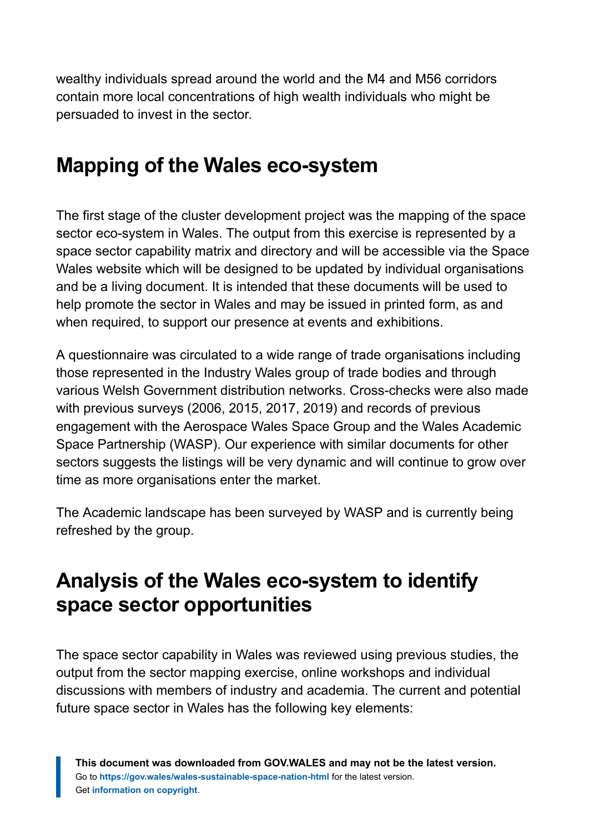wealthy individuals spread around the world and the M4 and M56 corridors contain more local concentrations of high wealth individuals who might be persuaded to invest in the sector.

# <span id="page-10-0"></span>**Mapping of the Wales eco-system**

The first stage of the cluster development project was the mapping of the space sector eco-system in Wales. The output from this exercise is represented by a space sector capability matrix and directory and will be accessible via the Space Wales website which will be designed to be updated by individual organisations and be a living document. It is intended that these documents will be used to help promote the sector in Wales and may be issued in printed form, as and when required, to support our presence at events and exhibitions.

A questionnaire was circulated to a wide range of trade organisations including those represented in the Industry Wales group of trade bodies and through various Welsh Government distribution networks. Cross-checks were also made with previous surveys (2006, 2015, 2017, 2019) and records of previous engagement with the Aerospace Wales Space Group and the Wales Academic Space Partnership (WASP). Our experience with similar documents for other sectors suggests the listings will be very dynamic and will continue to grow over time as more organisations enter the market.

The Academic landscape has been surveyed by WASP and is currently being refreshed by the group.

# <span id="page-10-1"></span>**Analysis of the Wales eco-system to identify space sector opportunities**

The space sector capability in Wales was reviewed using previous studies, the output from the sector mapping exercise, online workshops and individual discussions with members of industry and academia. The current and potential future space sector in Wales has the following key elements: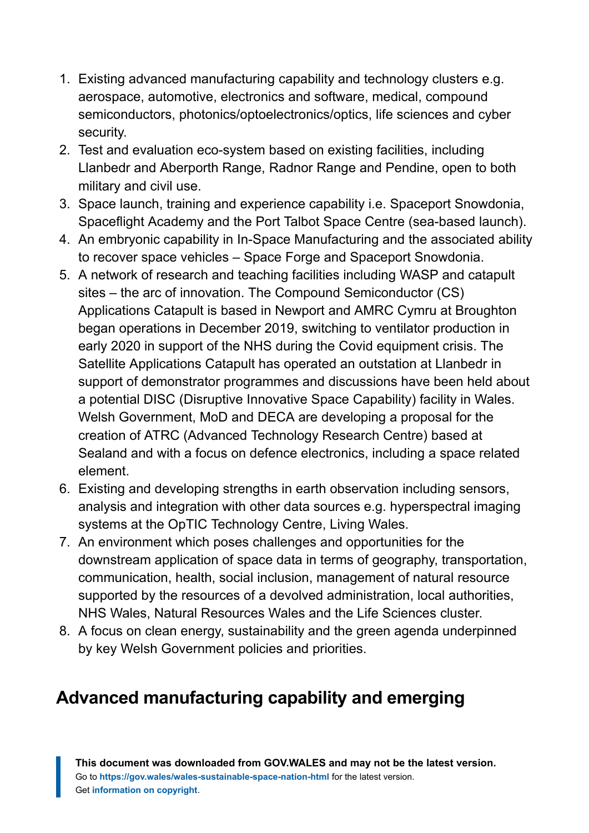- 1. Existing advanced manufacturing capability and technology clusters e.g. aerospace, automotive, electronics and software, medical, compound semiconductors, photonics/optoelectronics/optics, life sciences and cyber security.
- 2. Test and evaluation eco-system based on existing facilities, including Llanbedr and Aberporth Range, Radnor Range and Pendine, open to both military and civil use.
- 3. Space launch, training and experience capability i.e. Spaceport Snowdonia, Spaceflight Academy and the Port Talbot Space Centre (sea-based launch).
- 4. An embryonic capability in In-Space Manufacturing and the associated ability to recover space vehicles – Space Forge and Spaceport Snowdonia.
- 5. A network of research and teaching facilities including WASP and catapult sites – the arc of innovation. The Compound Semiconductor (CS) Applications Catapult is based in Newport and AMRC Cymru at Broughton began operations in December 2019, switching to ventilator production in early 2020 in support of the NHS during the Covid equipment crisis. The Satellite Applications Catapult has operated an outstation at Llanbedr in support of demonstrator programmes and discussions have been held about a potential DISC (Disruptive Innovative Space Capability) facility in Wales. Welsh Government, MoD and DECA are developing a proposal for the creation of ATRC (Advanced Technology Research Centre) based at Sealand and with a focus on defence electronics, including a space related element.
- 6. Existing and developing strengths in earth observation including sensors, analysis and integration with other data sources e.g. hyperspectral imaging systems at the OpTIC Technology Centre, Living Wales.
- 7. An environment which poses challenges and opportunities for the downstream application of space data in terms of geography, transportation, communication, health, social inclusion, management of natural resource supported by the resources of a devolved administration, local authorities, NHS Wales, Natural Resources Wales and the Life Sciences cluster.
- 8. A focus on clean energy, sustainability and the green agenda underpinned by key Welsh Government policies and priorities.

# **Advanced manufacturing capability and emerging**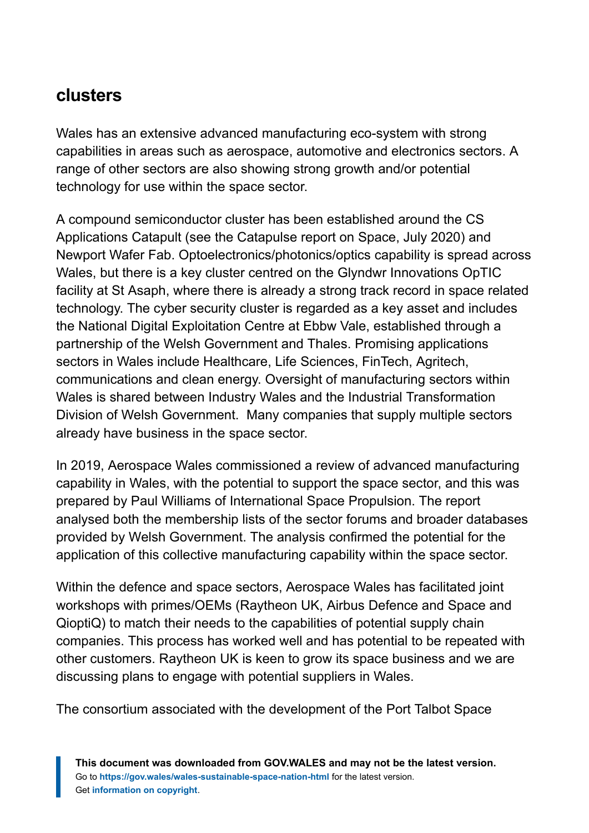### **clusters**

Wales has an extensive advanced manufacturing eco-system with strong capabilities in areas such as aerospace, automotive and electronics sectors. A range of other sectors are also showing strong growth and/or potential technology for use within the space sector.

A compound semiconductor cluster has been established around the CS Applications Catapult (see the Catapulse report on Space, July 2020) and Newport Wafer Fab. Optoelectronics/photonics/optics capability is spread across Wales, but there is a key cluster centred on the Glyndwr Innovations OpTIC facility at St Asaph, where there is already a strong track record in space related technology. The cyber security cluster is regarded as a key asset and includes the National Digital Exploitation Centre at Ebbw Vale, established through a partnership of the Welsh Government and Thales. Promising applications sectors in Wales include Healthcare, Life Sciences, FinTech, Agritech, communications and clean energy. Oversight of manufacturing sectors within Wales is shared between Industry Wales and the Industrial Transformation Division of Welsh Government. Many companies that supply multiple sectors already have business in the space sector.

In 2019, Aerospace Wales commissioned a review of advanced manufacturing capability in Wales, with the potential to support the space sector, and this was prepared by Paul Williams of International Space Propulsion. The report analysed both the membership lists of the sector forums and broader databases provided by Welsh Government. The analysis confirmed the potential for the application of this collective manufacturing capability within the space sector.

Within the defence and space sectors, Aerospace Wales has facilitated joint workshops with primes/OEMs (Raytheon UK, Airbus Defence and Space and QioptiQ) to match their needs to the capabilities of potential supply chain companies. This process has worked well and has potential to be repeated with other customers. Raytheon UK is keen to grow its space business and we are discussing plans to engage with potential suppliers in Wales.

The consortium associated with the development of the Port Talbot Space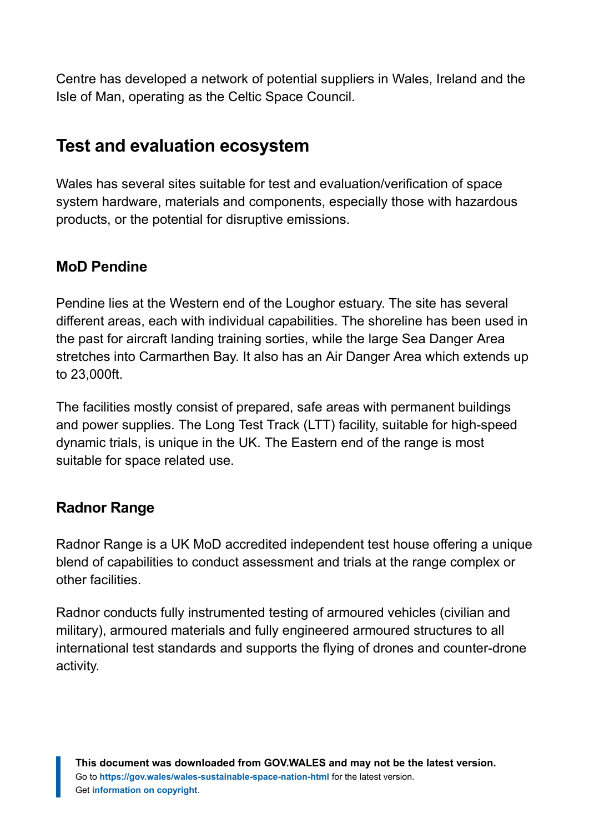Centre has developed a network of potential suppliers in Wales, Ireland and the Isle of Man, operating as the Celtic Space Council.

### **Test and evaluation ecosystem**

Wales has several sites suitable for test and evaluation/verification of space system hardware, materials and components, especially those with hazardous products, or the potential for disruptive emissions.

#### **MoD Pendine**

Pendine lies at the Western end of the Loughor estuary. The site has several different areas, each with individual capabilities. The shoreline has been used in the past for aircraft landing training sorties, while the large Sea Danger Area stretches into Carmarthen Bay. It also has an Air Danger Area which extends up to 23,000ft.

The facilities mostly consist of prepared, safe areas with permanent buildings and power supplies. The Long Test Track (LTT) facility, suitable for high-speed dynamic trials, is unique in the UK. The Eastern end of the range is most suitable for space related use.

#### **Radnor Range**

Radnor Range is a UK MoD accredited independent test house offering a unique blend of capabilities to conduct assessment and trials at the range complex or other facilities.

Radnor conducts fully instrumented testing of armoured vehicles (civilian and military), armoured materials and fully engineered armoured structures to all international test standards and supports the flying of drones and counter-drone activity.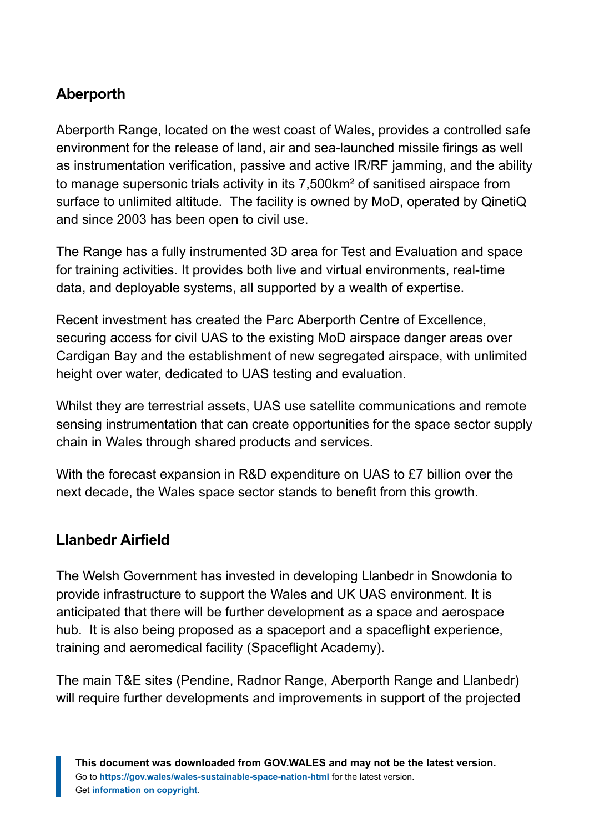#### **Aberporth**

Aberporth Range, located on the west coast of Wales, provides a controlled safe environment for the release of land, air and sea-launched missile firings as well as instrumentation verification, passive and active IR/RF jamming, and the ability to manage supersonic trials activity in its 7,500km² of sanitised airspace from surface to unlimited altitude. The facility is owned by MoD, operated by QinetiQ and since 2003 has been open to civil use.

The Range has a fully instrumented 3D area for Test and Evaluation and space for training activities. It provides both live and virtual environments, real-time data, and deployable systems, all supported by a wealth of expertise.

Recent investment has created the Parc Aberporth Centre of Excellence, securing access for civil UAS to the existing MoD airspace danger areas over Cardigan Bay and the establishment of new segregated airspace, with unlimited height over water, dedicated to UAS testing and evaluation.

Whilst they are terrestrial assets, UAS use satellite communications and remote sensing instrumentation that can create opportunities for the space sector supply chain in Wales through shared products and services.

With the forecast expansion in R&D expenditure on UAS to £7 billion over the next decade, the Wales space sector stands to benefit from this growth.

#### **Llanbedr Airfield**

The Welsh Government has invested in developing Llanbedr in Snowdonia to provide infrastructure to support the Wales and UK UAS environment. It is anticipated that there will be further development as a space and aerospace hub. It is also being proposed as a spaceport and a spaceflight experience, training and aeromedical facility (Spaceflight Academy).

The main T&E sites (Pendine, Radnor Range, Aberporth Range and Llanbedr) will require further developments and improvements in support of the projected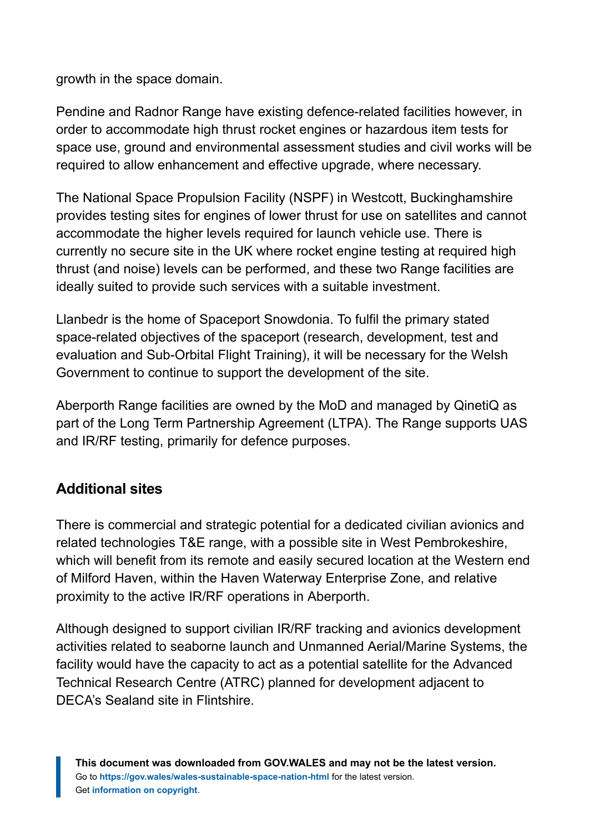growth in the space domain.

Pendine and Radnor Range have existing defence-related facilities however, in order to accommodate high thrust rocket engines or hazardous item tests for space use, ground and environmental assessment studies and civil works will be required to allow enhancement and effective upgrade, where necessary.

The National Space Propulsion Facility (NSPF) in Westcott, Buckinghamshire provides testing sites for engines of lower thrust for use on satellites and cannot accommodate the higher levels required for launch vehicle use. There is currently no secure site in the UK where rocket engine testing at required high thrust (and noise) levels can be performed, and these two Range facilities are ideally suited to provide such services with a suitable investment.

Llanbedr is the home of Spaceport Snowdonia. To fulfil the primary stated space-related objectives of the spaceport (research, development, test and evaluation and Sub-Orbital Flight Training), it will be necessary for the Welsh Government to continue to support the development of the site.

Aberporth Range facilities are owned by the MoD and managed by QinetiQ as part of the Long Term Partnership Agreement (LTPA). The Range supports UAS and IR/RF testing, primarily for defence purposes.

#### **Additional sites**

There is commercial and strategic potential for a dedicated civilian avionics and related technologies T&E range, with a possible site in West Pembrokeshire, which will benefit from its remote and easily secured location at the Western end of Milford Haven, within the Haven Waterway Enterprise Zone, and relative proximity to the active IR/RF operations in Aberporth.

Although designed to support civilian IR/RF tracking and avionics development activities related to seaborne launch and Unmanned Aerial/Marine Systems, the facility would have the capacity to act as a potential satellite for the Advanced Technical Research Centre (ATRC) planned for development adjacent to DECA's Sealand site in Flintshire.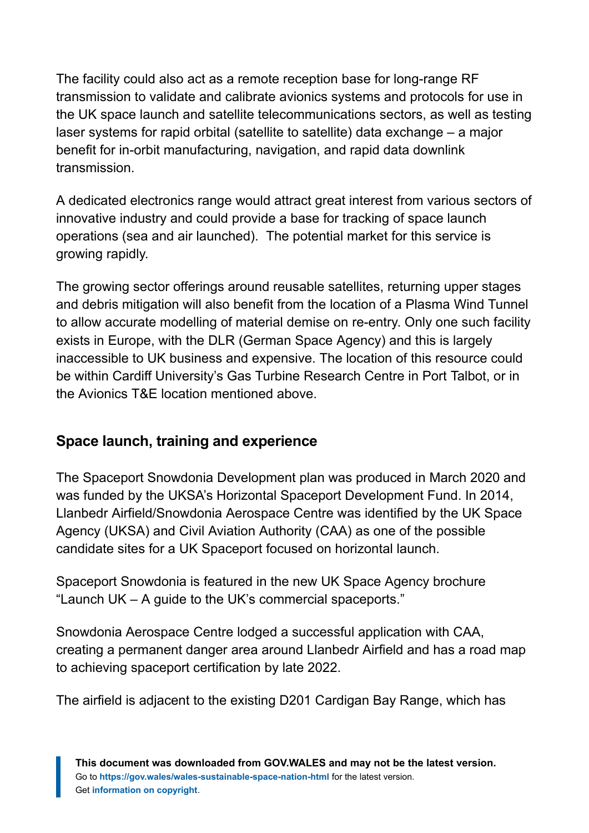The facility could also act as a remote reception base for long-range RF transmission to validate and calibrate avionics systems and protocols for use in the UK space launch and satellite telecommunications sectors, as well as testing laser systems for rapid orbital (satellite to satellite) data exchange – a major benefit for in-orbit manufacturing, navigation, and rapid data downlink transmission.

A dedicated electronics range would attract great interest from various sectors of innovative industry and could provide a base for tracking of space launch operations (sea and air launched). The potential market for this service is growing rapidly.

The growing sector offerings around reusable satellites, returning upper stages and debris mitigation will also benefit from the location of a Plasma Wind Tunnel to allow accurate modelling of material demise on re-entry. Only one such facility exists in Europe, with the DLR (German Space Agency) and this is largely inaccessible to UK business and expensive. The location of this resource could be within Cardiff University's Gas Turbine Research Centre in Port Talbot, or in the Avionics T&E location mentioned above.

#### **Space launch, training and experience**

The Spaceport Snowdonia Development plan was produced in March 2020 and was funded by the UKSA's Horizontal Spaceport Development Fund. In 2014, Llanbedr Airfield/Snowdonia Aerospace Centre was identified by the UK Space Agency (UKSA) and Civil Aviation Authority (CAA) as one of the possible candidate sites for a UK Spaceport focused on horizontal launch.

Spaceport Snowdonia is featured in the new UK Space Agency brochure "Launch UK – A guide to the UK's commercial spaceports."

Snowdonia Aerospace Centre lodged a successful application with CAA, creating a permanent danger area around Llanbedr Airfield and has a road map to achieving spaceport certification by late 2022.

The airfield is adjacent to the existing D201 Cardigan Bay Range, which has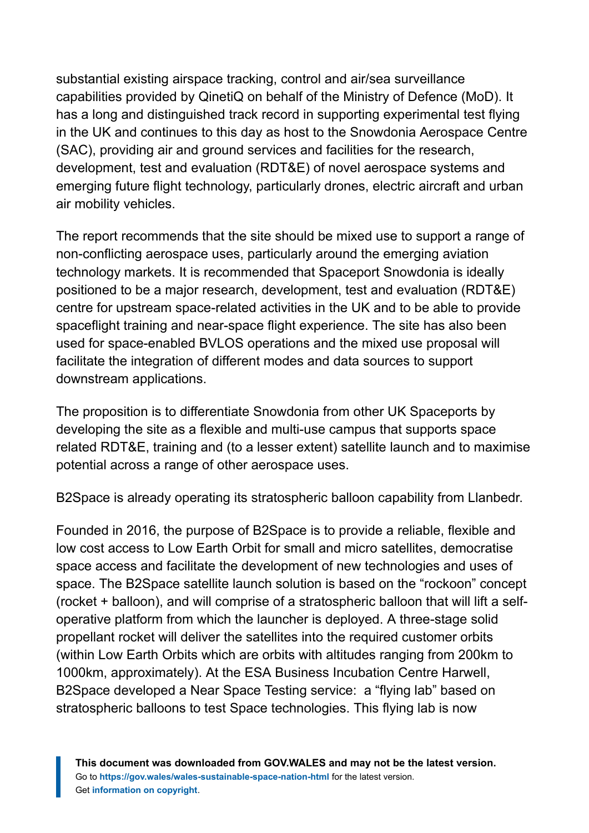substantial existing airspace tracking, control and air/sea surveillance capabilities provided by QinetiQ on behalf of the Ministry of Defence (MoD). It has a long and distinguished track record in supporting experimental test flying in the UK and continues to this day as host to the Snowdonia Aerospace Centre (SAC), providing air and ground services and facilities for the research, development, test and evaluation (RDT&E) of novel aerospace systems and emerging future flight technology, particularly drones, electric aircraft and urban air mobility vehicles.

The report recommends that the site should be mixed use to support a range of non-conflicting aerospace uses, particularly around the emerging aviation technology markets. It is recommended that Spaceport Snowdonia is ideally positioned to be a major research, development, test and evaluation (RDT&E) centre for upstream space-related activities in the UK and to be able to provide spaceflight training and near-space flight experience. The site has also been used for space-enabled BVLOS operations and the mixed use proposal will facilitate the integration of different modes and data sources to support downstream applications.

The proposition is to differentiate Snowdonia from other UK Spaceports by developing the site as a flexible and multi-use campus that supports space related RDT&E, training and (to a lesser extent) satellite launch and to maximise potential across a range of other aerospace uses.

B2Space is already operating its stratospheric balloon capability from Llanbedr.

Founded in 2016, the purpose of B2Space is to provide a reliable, flexible and low cost access to Low Earth Orbit for small and micro satellites, democratise space access and facilitate the development of new technologies and uses of space. The B2Space satellite launch solution is based on the "rockoon" concept (rocket + balloon), and will comprise of a stratospheric balloon that will lift a selfoperative platform from which the launcher is deployed. A three-stage solid propellant rocket will deliver the satellites into the required customer orbits (within Low Earth Orbits which are orbits with altitudes ranging from 200km to 1000km, approximately). At the ESA Business Incubation Centre Harwell, B2Space developed a Near Space Testing service: a "flying lab" based on stratospheric balloons to test Space technologies. This flying lab is now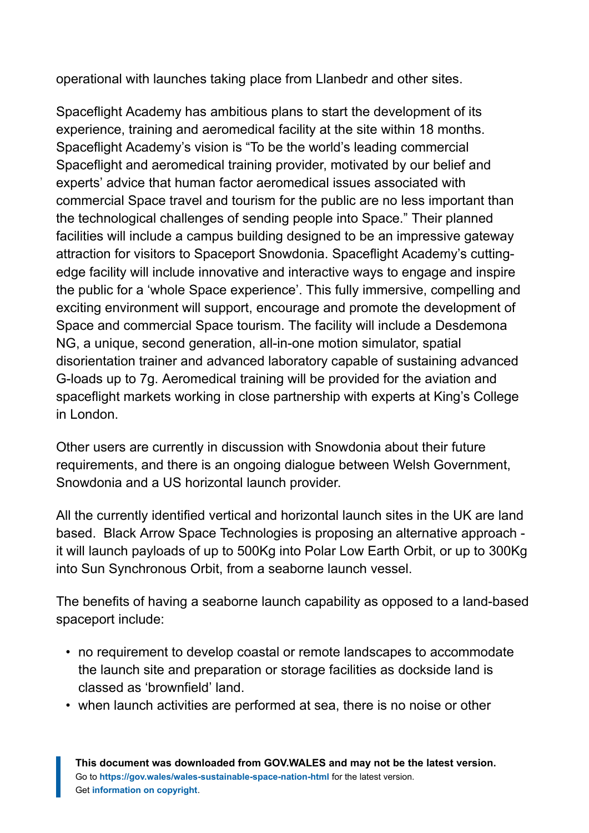operational with launches taking place from Llanbedr and other sites.

Spaceflight Academy has ambitious plans to start the development of its experience, training and aeromedical facility at the site within 18 months. Spaceflight Academy's vision is "To be the world's leading commercial Spaceflight and aeromedical training provider, motivated by our belief and experts' advice that human factor aeromedical issues associated with commercial Space travel and tourism for the public are no less important than the technological challenges of sending people into Space." Their planned facilities will include a campus building designed to be an impressive gateway attraction for visitors to Spaceport Snowdonia. Spaceflight Academy's cuttingedge facility will include innovative and interactive ways to engage and inspire the public for a 'whole Space experience'. This fully immersive, compelling and exciting environment will support, encourage and promote the development of Space and commercial Space tourism. The facility will include a Desdemona NG, a unique, second generation, all-in-one motion simulator, spatial disorientation trainer and advanced laboratory capable of sustaining advanced G-loads up to 7g. Aeromedical training will be provided for the aviation and spaceflight markets working in close partnership with experts at King's College in London.

Other users are currently in discussion with Snowdonia about their future requirements, and there is an ongoing dialogue between Welsh Government, Snowdonia and a US horizontal launch provider.

All the currently identified vertical and horizontal launch sites in the UK are land based. Black Arrow Space Technologies is proposing an alternative approach it will launch payloads of up to 500Kg into Polar Low Earth Orbit, or up to 300Kg into Sun Synchronous Orbit, from a seaborne launch vessel.

The benefits of having a seaborne launch capability as opposed to a land-based spaceport include:

- no requirement to develop coastal or remote landscapes to accommodate the launch site and preparation or storage facilities as dockside land is classed as 'brownfield' land.
- when launch activities are performed at sea, there is no noise or other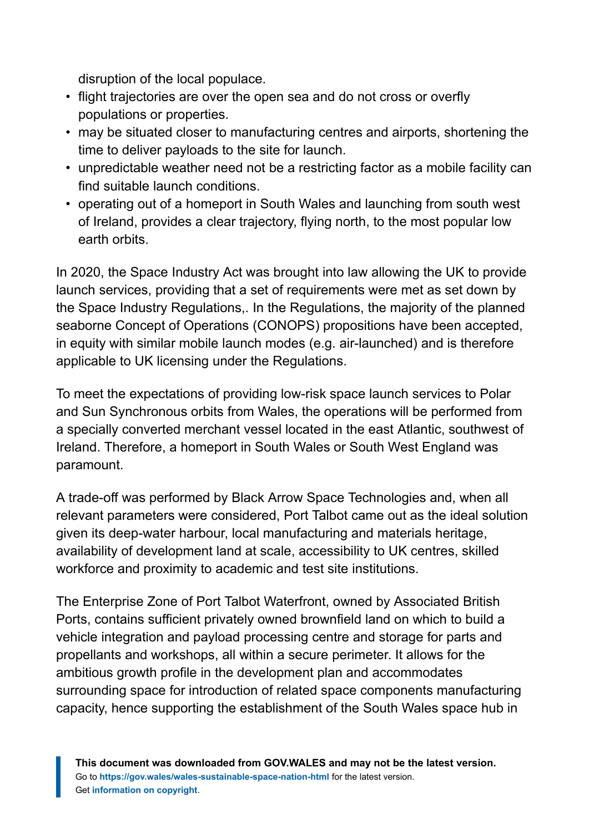disruption of the local populace.

- flight trajectories are over the open sea and do not cross or overfly populations or properties.
- may be situated closer to manufacturing centres and airports, shortening the time to deliver payloads to the site for launch.
- unpredictable weather need not be a restricting factor as a mobile facility can find suitable launch conditions.
- operating out of a homeport in South Wales and launching from south west of Ireland, provides a clear trajectory, flying north, to the most popular low earth orbits.

In 2020, the Space Industry Act was brought into law allowing the UK to provide launch services, providing that a set of requirements were met as set down by the Space Industry Regulations,. In the Regulations, the majority of the planned seaborne Concept of Operations (CONOPS) propositions have been accepted, in equity with similar mobile launch modes (e.g. air-launched) and is therefore applicable to UK licensing under the Regulations.

To meet the expectations of providing low-risk space launch services to Polar and Sun Synchronous orbits from Wales, the operations will be performed from a specially converted merchant vessel located in the east Atlantic, southwest of Ireland. Therefore, a homeport in South Wales or South West England was paramount.

A trade-off was performed by Black Arrow Space Technologies and, when all relevant parameters were considered, Port Talbot came out as the ideal solution given its deep-water harbour, local manufacturing and materials heritage, availability of development land at scale, accessibility to UK centres, skilled workforce and proximity to academic and test site institutions.

The Enterprise Zone of Port Talbot Waterfront, owned by Associated British Ports, contains sufficient privately owned brownfield land on which to build a vehicle integration and payload processing centre and storage for parts and propellants and workshops, all within a secure perimeter. It allows for the ambitious growth profile in the development plan and accommodates surrounding space for introduction of related space components manufacturing capacity, hence supporting the establishment of the South Wales space hub in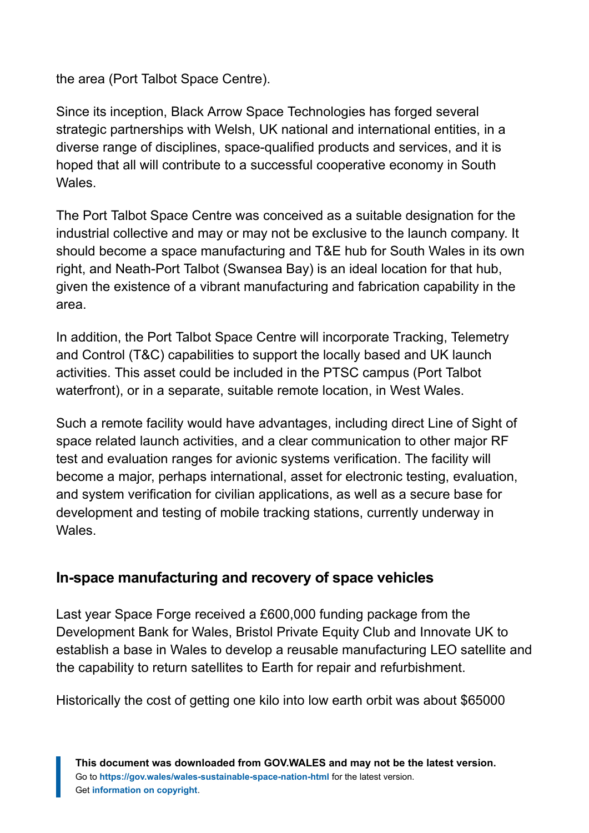the area (Port Talbot Space Centre).

Since its inception, Black Arrow Space Technologies has forged several strategic partnerships with Welsh, UK national and international entities, in a diverse range of disciplines, space-qualified products and services, and it is hoped that all will contribute to a successful cooperative economy in South Wales.

The Port Talbot Space Centre was conceived as a suitable designation for the industrial collective and may or may not be exclusive to the launch company. It should become a space manufacturing and T&E hub for South Wales in its own right, and Neath-Port Talbot (Swansea Bay) is an ideal location for that hub, given the existence of a vibrant manufacturing and fabrication capability in the area.

In addition, the Port Talbot Space Centre will incorporate Tracking, Telemetry and Control (T&C) capabilities to support the locally based and UK launch activities. This asset could be included in the PTSC campus (Port Talbot waterfront), or in a separate, suitable remote location, in West Wales.

Such a remote facility would have advantages, including direct Line of Sight of space related launch activities, and a clear communication to other major RF test and evaluation ranges for avionic systems verification. The facility will become a major, perhaps international, asset for electronic testing, evaluation, and system verification for civilian applications, as well as a secure base for development and testing of mobile tracking stations, currently underway in Wales.

#### **In-space manufacturing and recovery of space vehicles**

Last year Space Forge received a £600,000 funding package from the Development Bank for Wales, Bristol Private Equity Club and Innovate UK to establish a base in Wales to develop a reusable manufacturing LEO satellite and the capability to return satellites to Earth for repair and refurbishment.

Historically the cost of getting one kilo into low earth orbit was about \$65000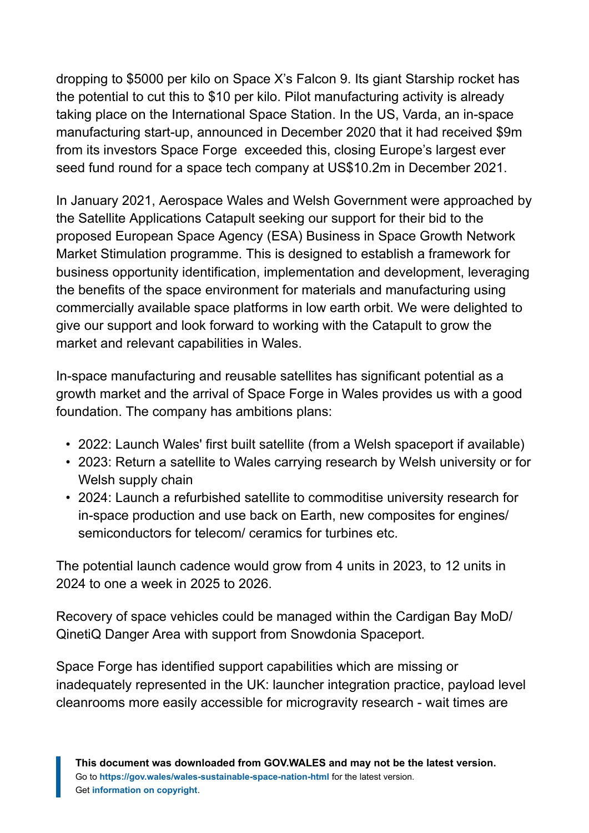dropping to \$5000 per kilo on Space X's Falcon 9. Its giant Starship rocket has the potential to cut this to \$10 per kilo. Pilot manufacturing activity is already taking place on the International Space Station. In the US, Varda, an in-space manufacturing start-up, announced in December 2020 that it had received \$9m from its investors Space Forge exceeded this, closing Europe's largest ever seed fund round for a space tech company at US\$10.2m in December 2021.

In January 2021, Aerospace Wales and Welsh Government were approached by the Satellite Applications Catapult seeking our support for their bid to the proposed European Space Agency (ESA) Business in Space Growth Network Market Stimulation programme. This is designed to establish a framework for business opportunity identification, implementation and development, leveraging the benefits of the space environment for materials and manufacturing using commercially available space platforms in low earth orbit. We were delighted to give our support and look forward to working with the Catapult to grow the market and relevant capabilities in Wales.

In-space manufacturing and reusable satellites has significant potential as a growth market and the arrival of Space Forge in Wales provides us with a good foundation. The company has ambitions plans:

- 2022: Launch Wales' first built satellite (from a Welsh spaceport if available)
- 2023: Return a satellite to Wales carrying research by Welsh university or for Welsh supply chain
- 2024: Launch a refurbished satellite to commoditise university research for in-space production and use back on Earth, new composites for engines/ semiconductors for telecom/ ceramics for turbines etc.

The potential launch cadence would grow from 4 units in 2023, to 12 units in 2024 to one a week in 2025 to 2026.

Recovery of space vehicles could be managed within the Cardigan Bay MoD/ QinetiQ Danger Area with support from Snowdonia Spaceport.

Space Forge has identified support capabilities which are missing or inadequately represented in the UK: launcher integration practice, payload level cleanrooms more easily accessible for microgravity research - wait times are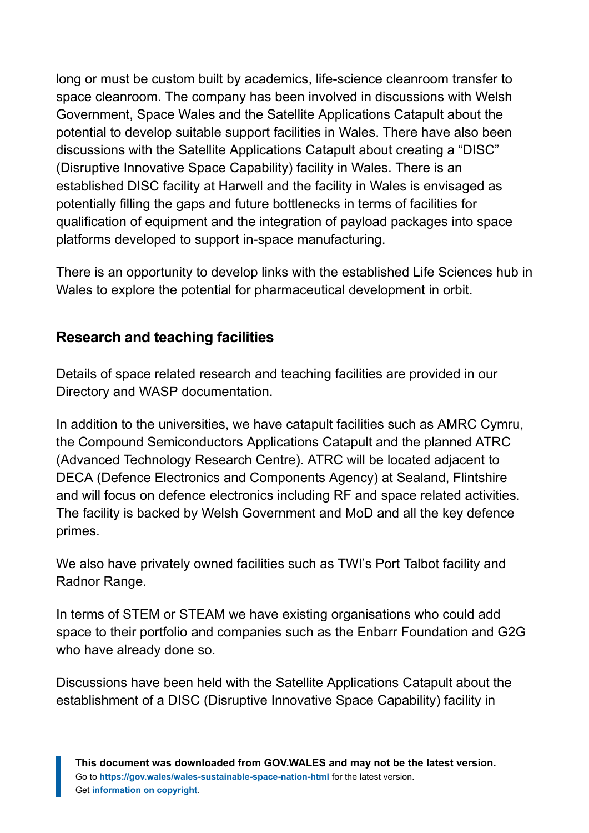long or must be custom built by academics, life-science cleanroom transfer to space cleanroom. The company has been involved in discussions with Welsh Government, Space Wales and the Satellite Applications Catapult about the potential to develop suitable support facilities in Wales. There have also been discussions with the Satellite Applications Catapult about creating a "DISC" (Disruptive Innovative Space Capability) facility in Wales. There is an established DISC facility at Harwell and the facility in Wales is envisaged as potentially filling the gaps and future bottlenecks in terms of facilities for qualification of equipment and the integration of payload packages into space platforms developed to support in-space manufacturing.

There is an opportunity to develop links with the established Life Sciences hub in Wales to explore the potential for pharmaceutical development in orbit.

#### **Research and teaching facilities**

Details of space related research and teaching facilities are provided in our Directory and WASP documentation.

In addition to the universities, we have catapult facilities such as AMRC Cymru, the Compound Semiconductors Applications Catapult and the planned ATRC (Advanced Technology Research Centre). ATRC will be located adjacent to DECA (Defence Electronics and Components Agency) at Sealand, Flintshire and will focus on defence electronics including RF and space related activities. The facility is backed by Welsh Government and MoD and all the key defence primes.

We also have privately owned facilities such as TWI's Port Talbot facility and Radnor Range.

In terms of STEM or STEAM we have existing organisations who could add space to their portfolio and companies such as the Enbarr Foundation and G2G who have already done so.

Discussions have been held with the Satellite Applications Catapult about the establishment of a DISC (Disruptive Innovative Space Capability) facility in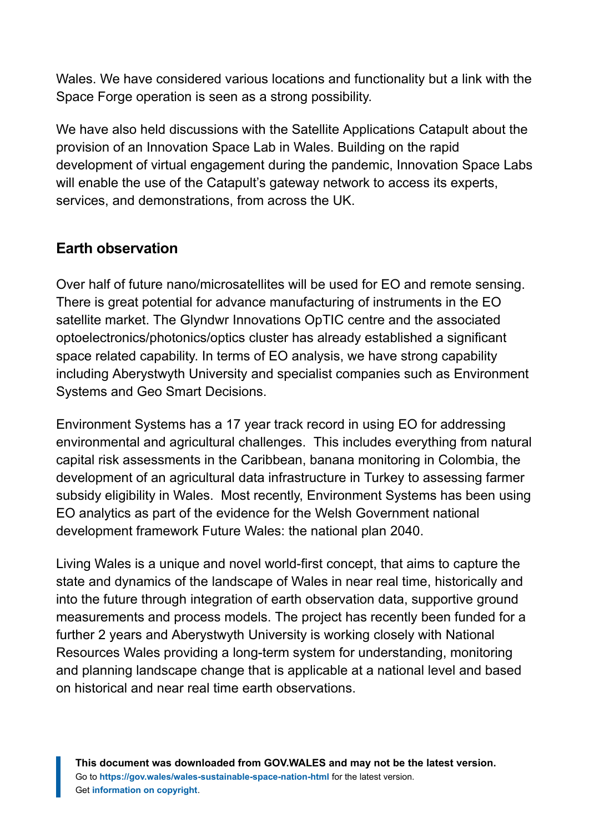Wales. We have considered various locations and functionality but a link with the Space Forge operation is seen as a strong possibility.

We have also held discussions with the Satellite Applications Catapult about the provision of an Innovation Space Lab in Wales. Building on the rapid development of virtual engagement during the pandemic, Innovation Space Labs will enable the use of the Catapult's gateway network to access its experts, services, and demonstrations, from across the UK.

#### **Earth observation**

Over half of future nano/microsatellites will be used for EO and remote sensing. There is great potential for advance manufacturing of instruments in the EO satellite market. The Glyndwr Innovations OpTIC centre and the associated optoelectronics/photonics/optics cluster has already established a significant space related capability. In terms of EO analysis, we have strong capability including Aberystwyth University and specialist companies such as Environment Systems and Geo Smart Decisions.

Environment Systems has a 17 year track record in using EO for addressing environmental and agricultural challenges. This includes everything from natural capital risk assessments in the Caribbean, banana monitoring in Colombia, the development of an agricultural data infrastructure in Turkey to assessing farmer subsidy eligibility in Wales. Most recently, Environment Systems has been using EO analytics as part of the evidence for the Welsh Government national development framework Future Wales: the national plan 2040.

Living Wales is a unique and novel world-first concept, that aims to capture the state and dynamics of the landscape of Wales in near real time, historically and into the future through integration of earth observation data, supportive ground measurements and process models. The project has recently been funded for a further 2 years and Aberystwyth University is working closely with National Resources Wales providing a long-term system for understanding, monitoring and planning landscape change that is applicable at a national level and based on historical and near real time earth observations.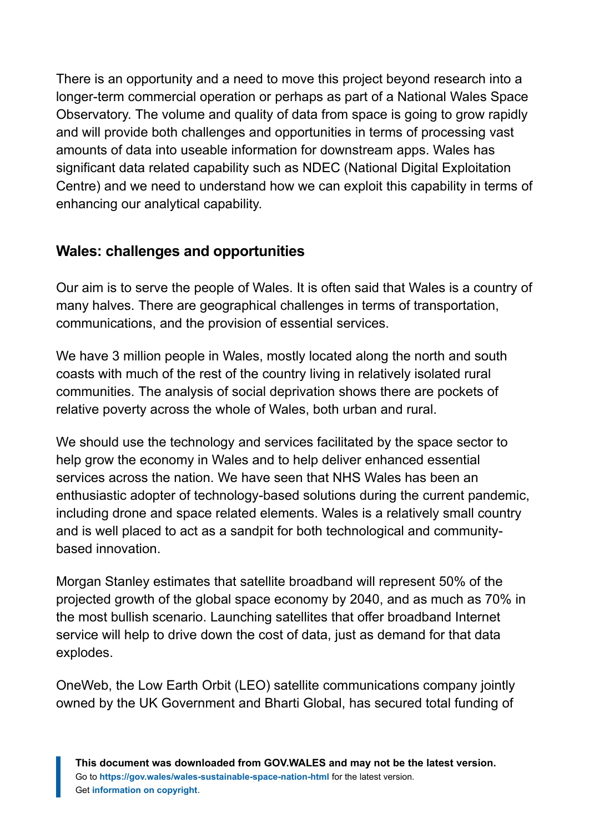There is an opportunity and a need to move this project beyond research into a longer-term commercial operation or perhaps as part of a National Wales Space Observatory. The volume and quality of data from space is going to grow rapidly and will provide both challenges and opportunities in terms of processing vast amounts of data into useable information for downstream apps. Wales has significant data related capability such as NDEC (National Digital Exploitation Centre) and we need to understand how we can exploit this capability in terms of enhancing our analytical capability.

#### **Wales: challenges and opportunities**

Our aim is to serve the people of Wales. It is often said that Wales is a country of many halves. There are geographical challenges in terms of transportation, communications, and the provision of essential services.

We have 3 million people in Wales, mostly located along the north and south coasts with much of the rest of the country living in relatively isolated rural communities. The analysis of social deprivation shows there are pockets of relative poverty across the whole of Wales, both urban and rural.

We should use the technology and services facilitated by the space sector to help grow the economy in Wales and to help deliver enhanced essential services across the nation. We have seen that NHS Wales has been an enthusiastic adopter of technology-based solutions during the current pandemic, including drone and space related elements. Wales is a relatively small country and is well placed to act as a sandpit for both technological and communitybased innovation.

Morgan Stanley estimates that satellite broadband will represent 50% of the projected growth of the global space economy by 2040, and as much as 70% in the most bullish scenario. Launching satellites that offer broadband Internet service will help to drive down the cost of data, just as demand for that data explodes.

OneWeb, the Low Earth Orbit (LEO) satellite communications company jointly owned by the UK Government and Bharti Global, has secured total funding of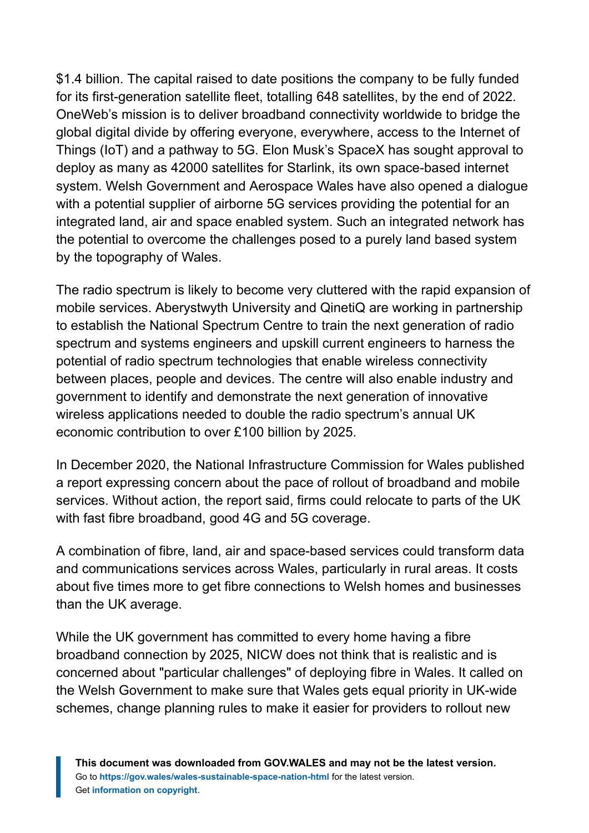\$1.4 billion. The capital raised to date positions the company to be fully funded for its first-generation satellite fleet, totalling 648 satellites, by the end of 2022. OneWeb's mission is to deliver broadband connectivity worldwide to bridge the global digital divide by offering everyone, everywhere, access to the Internet of Things (IoT) and a pathway to 5G. Elon Musk's SpaceX has sought approval to deploy as many as 42000 satellites for Starlink, its own space-based internet system. Welsh Government and Aerospace Wales have also opened a dialogue with a potential supplier of airborne 5G services providing the potential for an integrated land, air and space enabled system. Such an integrated network has the potential to overcome the challenges posed to a purely land based system by the topography of Wales.

The radio spectrum is likely to become very cluttered with the rapid expansion of mobile services. Aberystwyth University and QinetiQ are working in partnership to establish the National Spectrum Centre to train the next generation of radio spectrum and systems engineers and upskill current engineers to harness the potential of radio spectrum technologies that enable wireless connectivity between places, people and devices. The centre will also enable industry and government to identify and demonstrate the next generation of innovative wireless applications needed to double the radio spectrum's annual UK economic contribution to over £100 billion by 2025.

In December 2020, the National Infrastructure Commission for Wales published a report expressing concern about the pace of rollout of broadband and mobile services. Without action, the report said, firms could relocate to parts of the UK with fast fibre broadband, good 4G and 5G coverage.

A combination of fibre, land, air and space-based services could transform data and communications services across Wales, particularly in rural areas. It costs about five times more to get fibre connections to Welsh homes and businesses than the UK average.

While the UK government has committed to every home having a fibre broadband connection by 2025, NICW does not think that is realistic and is concerned about "particular challenges" of deploying fibre in Wales. It called on the Welsh Government to make sure that Wales gets equal priority in UK-wide schemes, change planning rules to make it easier for providers to rollout new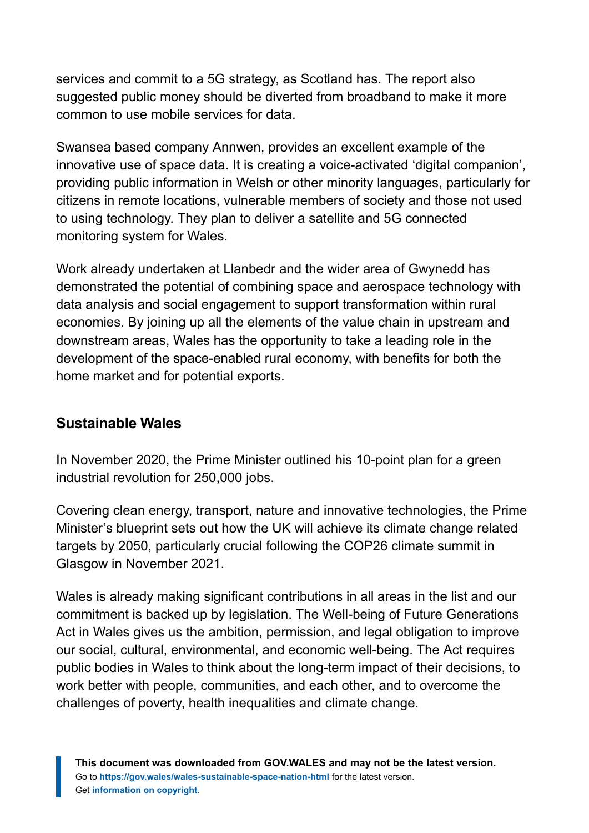services and commit to a 5G strategy, as Scotland has. The report also suggested public money should be diverted from broadband to make it more common to use mobile services for data.

Swansea based company Annwen, provides an excellent example of the innovative use of space data. It is creating a voice-activated 'digital companion', providing public information in Welsh or other minority languages, particularly for citizens in remote locations, vulnerable members of society and those not used to using technology. They plan to deliver a satellite and 5G connected monitoring system for Wales.

Work already undertaken at Llanbedr and the wider area of Gwynedd has demonstrated the potential of combining space and aerospace technology with data analysis and social engagement to support transformation within rural economies. By joining up all the elements of the value chain in upstream and downstream areas, Wales has the opportunity to take a leading role in the development of the space-enabled rural economy, with benefits for both the home market and for potential exports.

#### **Sustainable Wales**

In November 2020, the Prime Minister outlined his 10-point plan for a green industrial revolution for 250,000 jobs.

Covering clean energy, transport, nature and innovative technologies, the Prime Minister's blueprint sets out how the UK will achieve its climate change related targets by 2050, particularly crucial following the COP26 climate summit in Glasgow in November 2021.

Wales is already making significant contributions in all areas in the list and our commitment is backed up by legislation. The Well-being of Future Generations Act in Wales gives us the ambition, permission, and legal obligation to improve our social, cultural, environmental, and economic well-being. The Act requires public bodies in Wales to think about the long-term impact of their decisions, to work better with people, communities, and each other, and to overcome the challenges of poverty, health inequalities and climate change.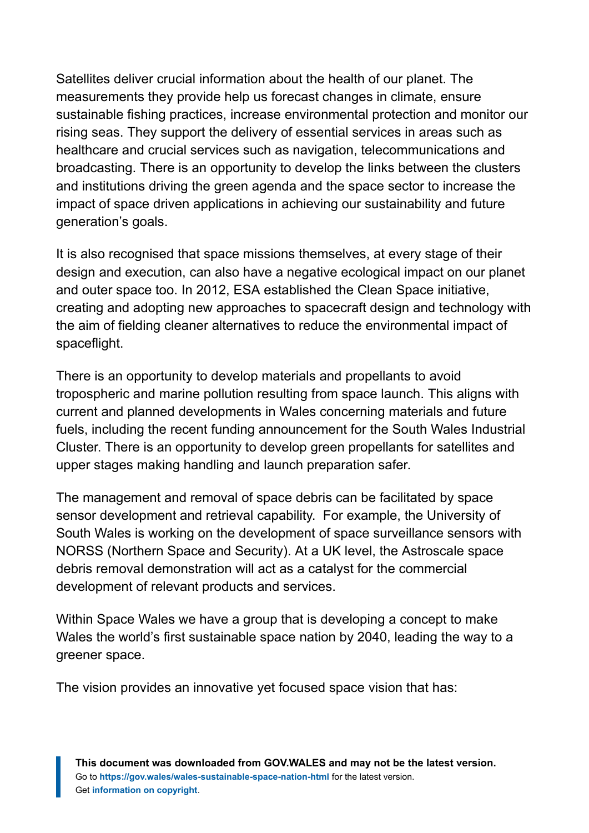Satellites deliver crucial information about the health of our planet. The measurements they provide help us forecast changes in climate, ensure sustainable fishing practices, increase environmental protection and monitor our rising seas. They support the delivery of essential services in areas such as healthcare and crucial services such as navigation, telecommunications and broadcasting. There is an opportunity to develop the links between the clusters and institutions driving the green agenda and the space sector to increase the impact of space driven applications in achieving our sustainability and future generation's goals.

It is also recognised that space missions themselves, at every stage of their design and execution, can also have a negative ecological impact on our planet and outer space too. In 2012, ESA established the Clean Space initiative, creating and adopting new approaches to spacecraft design and technology with the aim of fielding cleaner alternatives to reduce the environmental impact of spaceflight.

There is an opportunity to develop materials and propellants to avoid tropospheric and marine pollution resulting from space launch. This aligns with current and planned developments in Wales concerning materials and future fuels, including the recent funding announcement for the South Wales Industrial Cluster. There is an opportunity to develop green propellants for satellites and upper stages making handling and launch preparation safer.

The management and removal of space debris can be facilitated by space sensor development and retrieval capability. For example, the University of South Wales is working on the development of space surveillance sensors with NORSS (Northern Space and Security). At a UK level, the Astroscale space debris removal demonstration will act as a catalyst for the commercial development of relevant products and services.

Within Space Wales we have a group that is developing a concept to make Wales the world's first sustainable space nation by 2040, leading the way to a greener space.

The vision provides an innovative yet focused space vision that has: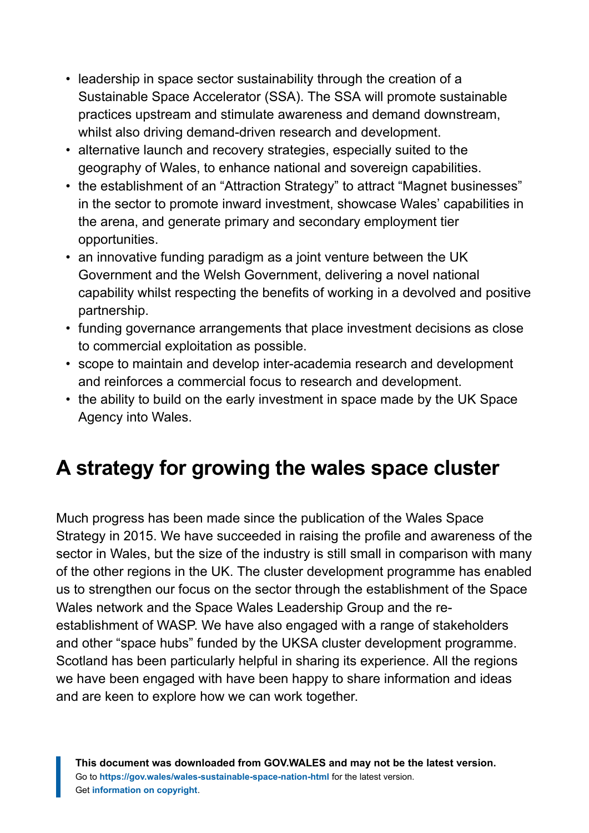- leadership in space sector sustainability through the creation of a Sustainable Space Accelerator (SSA). The SSA will promote sustainable practices upstream and stimulate awareness and demand downstream, whilst also driving demand-driven research and development.
- alternative launch and recovery strategies, especially suited to the geography of Wales, to enhance national and sovereign capabilities.
- the establishment of an "Attraction Strategy" to attract "Magnet businesses" in the sector to promote inward investment, showcase Wales' capabilities in the arena, and generate primary and secondary employment tier opportunities.
- an innovative funding paradigm as a joint venture between the UK Government and the Welsh Government, delivering a novel national capability whilst respecting the benefits of working in a devolved and positive partnership.
- funding governance arrangements that place investment decisions as close to commercial exploitation as possible.
- scope to maintain and develop inter-academia research and development and reinforces a commercial focus to research and development.
- the ability to build on the early investment in space made by the UK Space Agency into Wales.

# <span id="page-28-0"></span>**A strategy for growing the wales space cluster**

Much progress has been made since the publication of the Wales Space Strategy in 2015. We have succeeded in raising the profile and awareness of the sector in Wales, but the size of the industry is still small in comparison with many of the other regions in the UK. The cluster development programme has enabled us to strengthen our focus on the sector through the establishment of the Space Wales network and the Space Wales Leadership Group and the reestablishment of WASP. We have also engaged with a range of stakeholders and other "space hubs" funded by the UKSA cluster development programme. Scotland has been particularly helpful in sharing its experience. All the regions we have been engaged with have been happy to share information and ideas and are keen to explore how we can work together.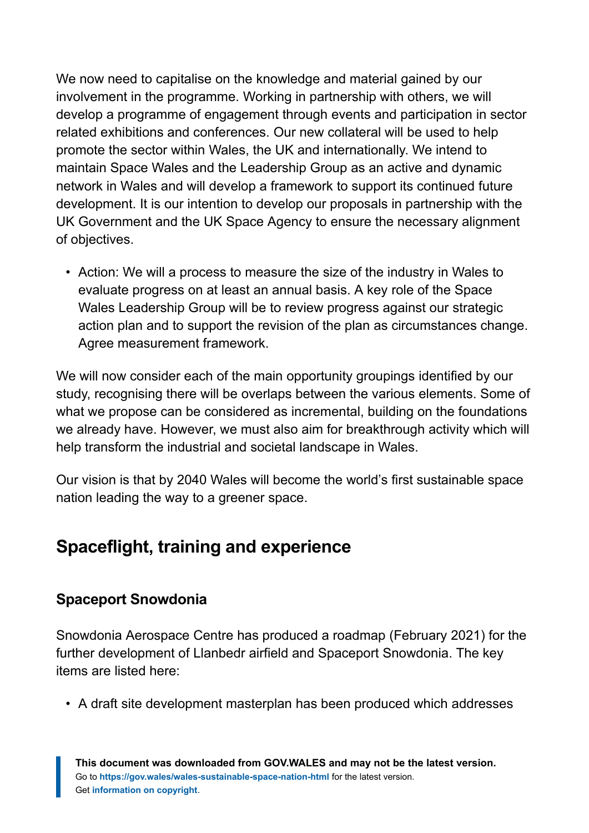We now need to capitalise on the knowledge and material gained by our involvement in the programme. Working in partnership with others, we will develop a programme of engagement through events and participation in sector related exhibitions and conferences. Our new collateral will be used to help promote the sector within Wales, the UK and internationally. We intend to maintain Space Wales and the Leadership Group as an active and dynamic network in Wales and will develop a framework to support its continued future development. It is our intention to develop our proposals in partnership with the UK Government and the UK Space Agency to ensure the necessary alignment of objectives.

• Action: We will a process to measure the size of the industry in Wales to evaluate progress on at least an annual basis. A key role of the Space Wales Leadership Group will be to review progress against our strategic action plan and to support the revision of the plan as circumstances change. Agree measurement framework.

We will now consider each of the main opportunity groupings identified by our study, recognising there will be overlaps between the various elements. Some of what we propose can be considered as incremental, building on the foundations we already have. However, we must also aim for breakthrough activity which will help transform the industrial and societal landscape in Wales.

Our vision is that by 2040 Wales will become the world's first sustainable space nation leading the way to a greener space.

## **Spaceflight, training and experience**

#### **Spaceport Snowdonia**

Snowdonia Aerospace Centre has produced a roadmap (February 2021) for the further development of Llanbedr airfield and Spaceport Snowdonia. The key items are listed here:

• A draft site development masterplan has been produced which addresses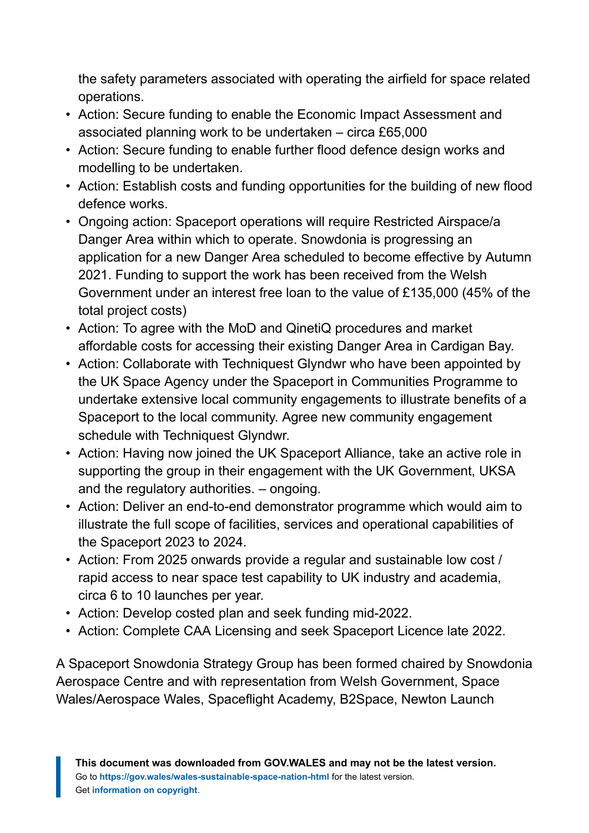the safety parameters associated with operating the airfield for space related operations.

- Action: Secure funding to enable the Economic Impact Assessment and associated planning work to be undertaken – circa £65,000
- Action: Secure funding to enable further flood defence design works and modelling to be undertaken.
- Action: Establish costs and funding opportunities for the building of new flood defence works.
- Ongoing action: Spaceport operations will require Restricted Airspace/a Danger Area within which to operate. Snowdonia is progressing an application for a new Danger Area scheduled to become effective by Autumn 2021. Funding to support the work has been received from the Welsh Government under an interest free loan to the value of £135,000 (45% of the total project costs)
- Action: To agree with the MoD and QinetiQ procedures and market affordable costs for accessing their existing Danger Area in Cardigan Bay.
- Action: Collaborate with Techniquest Glyndwr who have been appointed by the UK Space Agency under the Spaceport in Communities Programme to undertake extensive local community engagements to illustrate benefits of a Spaceport to the local community. Agree new community engagement schedule with Techniquest Glyndwr.
- Action: Having now joined the UK Spaceport Alliance, take an active role in supporting the group in their engagement with the UK Government, UKSA and the regulatory authorities. – ongoing.
- Action: Deliver an end-to-end demonstrator programme which would aim to illustrate the full scope of facilities, services and operational capabilities of the Spaceport 2023 to 2024.
- Action: From 2025 onwards provide a regular and sustainable low cost / rapid access to near space test capability to UK industry and academia, circa 6 to 10 launches per year.
- Action: Develop costed plan and seek funding mid-2022.
- Action: Complete CAA Licensing and seek Spaceport Licence late 2022.

A Spaceport Snowdonia Strategy Group has been formed chaired by Snowdonia Aerospace Centre and with representation from Welsh Government, Space Wales/Aerospace Wales, Spaceflight Academy, B2Space, Newton Launch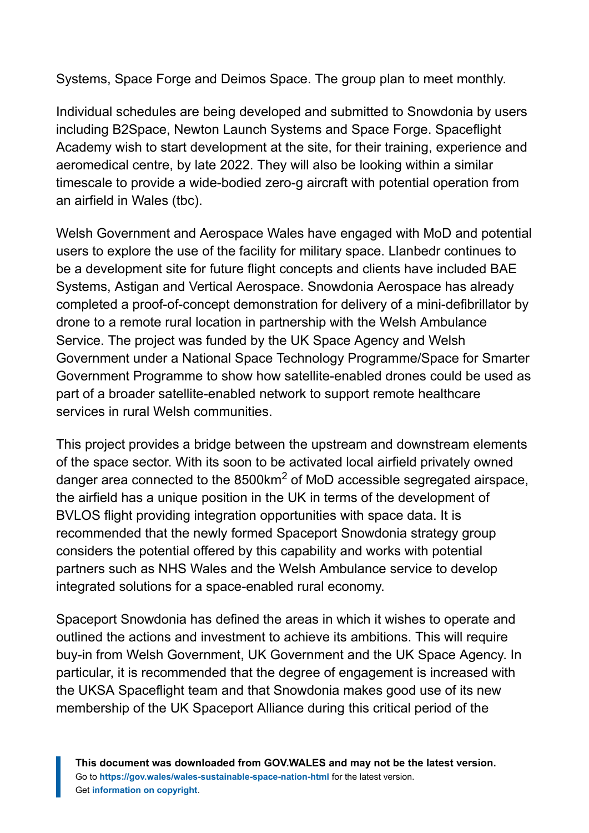Systems, Space Forge and Deimos Space. The group plan to meet monthly.

Individual schedules are being developed and submitted to Snowdonia by users including B2Space, Newton Launch Systems and Space Forge. Spaceflight Academy wish to start development at the site, for their training, experience and aeromedical centre, by late 2022. They will also be looking within a similar timescale to provide a wide-bodied zero-g aircraft with potential operation from an airfield in Wales (tbc).

Welsh Government and Aerospace Wales have engaged with MoD and potential users to explore the use of the facility for military space. Llanbedr continues to be a development site for future flight concepts and clients have included BAE Systems, Astigan and Vertical Aerospace. Snowdonia Aerospace has already completed a proof-of-concept demonstration for delivery of a mini-defibrillator by drone to a remote rural location in partnership with the Welsh Ambulance Service. The project was funded by the UK Space Agency and Welsh Government under a National Space Technology Programme/Space for Smarter Government Programme to show how satellite-enabled drones could be used as part of a broader satellite-enabled network to support remote healthcare services in rural Welsh communities.

This project provides a bridge between the upstream and downstream elements of the space sector. With its soon to be activated local airfield privately owned danger area connected to the 8500km<sup>2</sup> of MoD accessible segregated airspace, the airfield has a unique position in the UK in terms of the development of BVLOS flight providing integration opportunities with space data. It is recommended that the newly formed Spaceport Snowdonia strategy group considers the potential offered by this capability and works with potential partners such as NHS Wales and the Welsh Ambulance service to develop integrated solutions for a space-enabled rural economy.

Spaceport Snowdonia has defined the areas in which it wishes to operate and outlined the actions and investment to achieve its ambitions. This will require buy-in from Welsh Government, UK Government and the UK Space Agency. In particular, it is recommended that the degree of engagement is increased with the UKSA Spaceflight team and that Snowdonia makes good use of its new membership of the UK Spaceport Alliance during this critical period of the

**This document was downloaded from GOV.WALES and may not be the latest version.** Go to **<https://gov.wales/wales-sustainable-space-nation-html>** for the latest version. Get **[information on copyright](https://gov.wales/copyright-statement)**.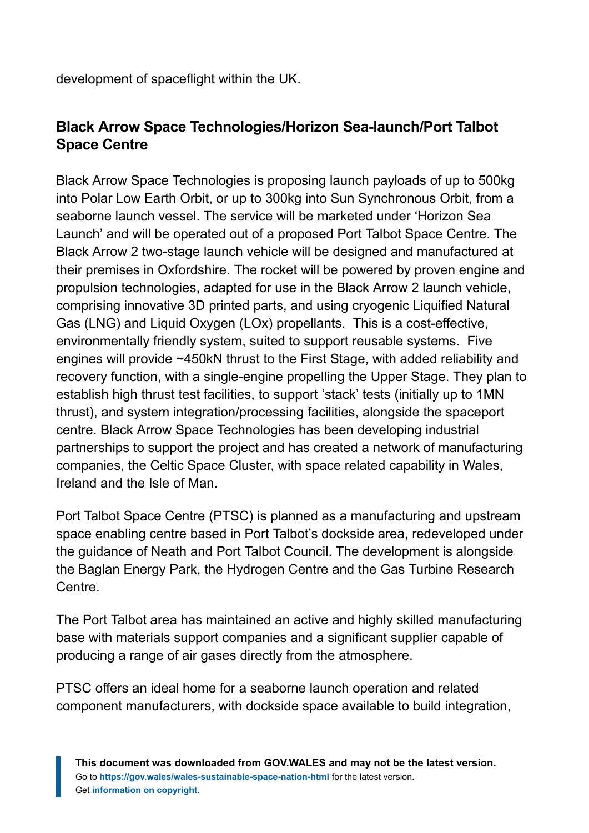development of spaceflight within the UK.

#### **Black Arrow Space Technologies/Horizon Sea-launch/Port Talbot Space Centre**

Black Arrow Space Technologies is proposing launch payloads of up to 500kg into Polar Low Earth Orbit, or up to 300kg into Sun Synchronous Orbit, from a seaborne launch vessel. The service will be marketed under 'Horizon Sea Launch' and will be operated out of a proposed Port Talbot Space Centre. The Black Arrow 2 two-stage launch vehicle will be designed and manufactured at their premises in Oxfordshire. The rocket will be powered by proven engine and propulsion technologies, adapted for use in the Black Arrow 2 launch vehicle, comprising innovative 3D printed parts, and using cryogenic Liquified Natural Gas (LNG) and Liquid Oxygen (LOx) propellants. This is a cost-effective, environmentally friendly system, suited to support reusable systems. Five engines will provide ~450kN thrust to the First Stage, with added reliability and recovery function, with a single-engine propelling the Upper Stage. They plan to establish high thrust test facilities, to support 'stack' tests (initially up to 1MN thrust), and system integration/processing facilities, alongside the spaceport centre. Black Arrow Space Technologies has been developing industrial partnerships to support the project and has created a network of manufacturing companies, the Celtic Space Cluster, with space related capability in Wales, Ireland and the Isle of Man.

Port Talbot Space Centre (PTSC) is planned as a manufacturing and upstream space enabling centre based in Port Talbot's dockside area, redeveloped under the guidance of Neath and Port Talbot Council. The development is alongside the Baglan Energy Park, the Hydrogen Centre and the Gas Turbine Research Centre.

The Port Talbot area has maintained an active and highly skilled manufacturing base with materials support companies and a significant supplier capable of producing a range of air gases directly from the atmosphere.

PTSC offers an ideal home for a seaborne launch operation and related component manufacturers, with dockside space available to build integration,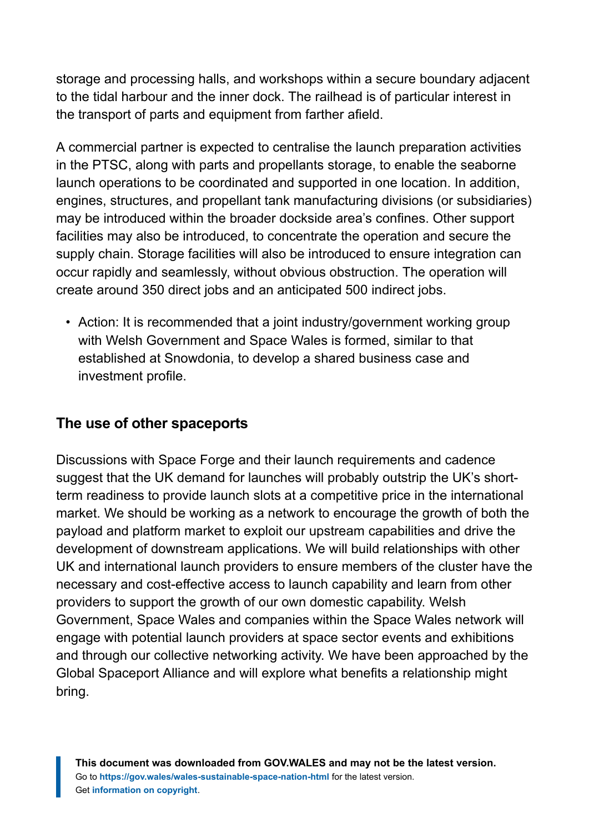storage and processing halls, and workshops within a secure boundary adjacent to the tidal harbour and the inner dock. The railhead is of particular interest in the transport of parts and equipment from farther afield.

A commercial partner is expected to centralise the launch preparation activities in the PTSC, along with parts and propellants storage, to enable the seaborne launch operations to be coordinated and supported in one location. In addition, engines, structures, and propellant tank manufacturing divisions (or subsidiaries) may be introduced within the broader dockside area's confines. Other support facilities may also be introduced, to concentrate the operation and secure the supply chain. Storage facilities will also be introduced to ensure integration can occur rapidly and seamlessly, without obvious obstruction. The operation will create around 350 direct jobs and an anticipated 500 indirect jobs.

• Action: It is recommended that a joint industry/government working group with Welsh Government and Space Wales is formed, similar to that established at Snowdonia, to develop a shared business case and investment profile.

#### **The use of other spaceports**

Discussions with Space Forge and their launch requirements and cadence suggest that the UK demand for launches will probably outstrip the UK's shortterm readiness to provide launch slots at a competitive price in the international market. We should be working as a network to encourage the growth of both the payload and platform market to exploit our upstream capabilities and drive the development of downstream applications. We will build relationships with other UK and international launch providers to ensure members of the cluster have the necessary and cost-effective access to launch capability and learn from other providers to support the growth of our own domestic capability. Welsh Government, Space Wales and companies within the Space Wales network will engage with potential launch providers at space sector events and exhibitions and through our collective networking activity. We have been approached by the Global Spaceport Alliance and will explore what benefits a relationship might bring.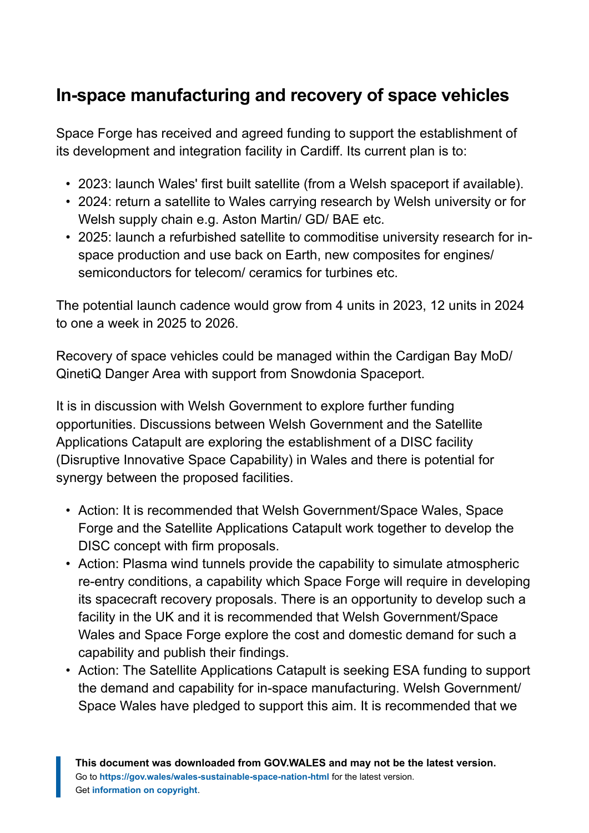# **In-space manufacturing and recovery of space vehicles**

Space Forge has received and agreed funding to support the establishment of its development and integration facility in Cardiff. Its current plan is to:

- 2023: launch Wales' first built satellite (from a Welsh spaceport if available).
- 2024: return a satellite to Wales carrying research by Welsh university or for Welsh supply chain e.g. Aston Martin/ GD/ BAE etc.
- 2025: launch a refurbished satellite to commoditise university research for inspace production and use back on Earth, new composites for engines/ semiconductors for telecom/ ceramics for turbines etc.

The potential launch cadence would grow from 4 units in 2023, 12 units in 2024 to one a week in 2025 to 2026.

Recovery of space vehicles could be managed within the Cardigan Bay MoD/ QinetiQ Danger Area with support from Snowdonia Spaceport.

It is in discussion with Welsh Government to explore further funding opportunities. Discussions between Welsh Government and the Satellite Applications Catapult are exploring the establishment of a DISC facility (Disruptive Innovative Space Capability) in Wales and there is potential for synergy between the proposed facilities.

- Action: It is recommended that Welsh Government/Space Wales, Space Forge and the Satellite Applications Catapult work together to develop the DISC concept with firm proposals.
- Action: Plasma wind tunnels provide the capability to simulate atmospheric re-entry conditions, a capability which Space Forge will require in developing its spacecraft recovery proposals. There is an opportunity to develop such a facility in the UK and it is recommended that Welsh Government/Space Wales and Space Forge explore the cost and domestic demand for such a capability and publish their findings.
- Action: The Satellite Applications Catapult is seeking ESA funding to support the demand and capability for in-space manufacturing. Welsh Government/ Space Wales have pledged to support this aim. It is recommended that we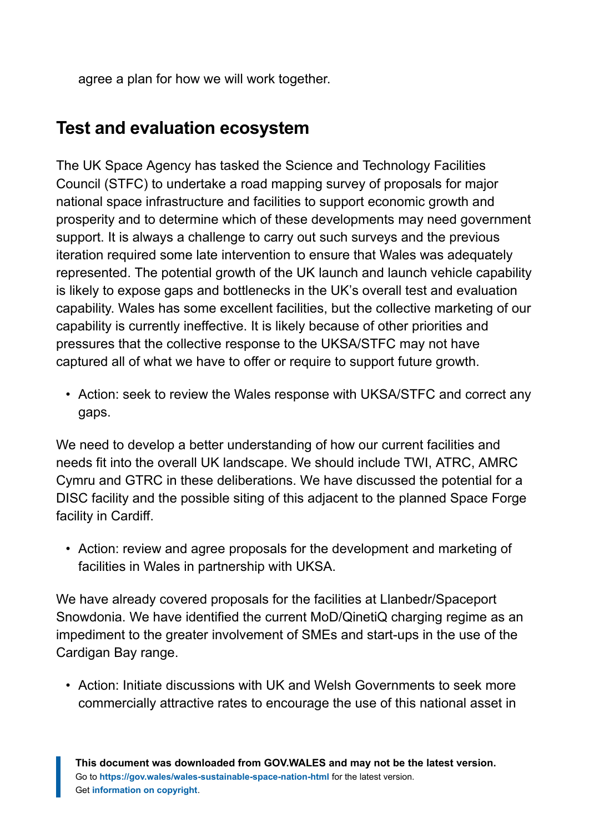agree a plan for how we will work together.

### **Test and evaluation ecosystem**

The UK Space Agency has tasked the Science and Technology Facilities Council (STFC) to undertake a road mapping survey of proposals for major national space infrastructure and facilities to support economic growth and prosperity and to determine which of these developments may need government support. It is always a challenge to carry out such surveys and the previous iteration required some late intervention to ensure that Wales was adequately represented. The potential growth of the UK launch and launch vehicle capability is likely to expose gaps and bottlenecks in the UK's overall test and evaluation capability. Wales has some excellent facilities, but the collective marketing of our capability is currently ineffective. It is likely because of other priorities and pressures that the collective response to the UKSA/STFC may not have captured all of what we have to offer or require to support future growth.

• Action: seek to review the Wales response with UKSA/STFC and correct any gaps.

We need to develop a better understanding of how our current facilities and needs fit into the overall UK landscape. We should include TWI, ATRC, AMRC Cymru and GTRC in these deliberations. We have discussed the potential for a DISC facility and the possible siting of this adjacent to the planned Space Forge facility in Cardiff.

• Action: review and agree proposals for the development and marketing of facilities in Wales in partnership with UKSA.

We have already covered proposals for the facilities at Llanbedr/Spaceport Snowdonia. We have identified the current MoD/QinetiQ charging regime as an impediment to the greater involvement of SMEs and start-ups in the use of the Cardigan Bay range.

• Action: Initiate discussions with UK and Welsh Governments to seek more commercially attractive rates to encourage the use of this national asset in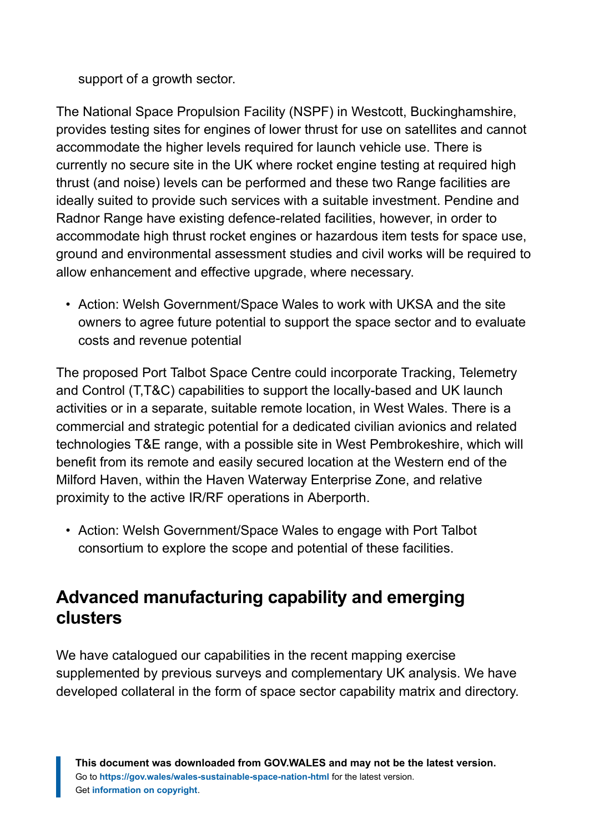support of a growth sector.

The National Space Propulsion Facility (NSPF) in Westcott, Buckinghamshire, provides testing sites for engines of lower thrust for use on satellites and cannot accommodate the higher levels required for launch vehicle use. There is currently no secure site in the UK where rocket engine testing at required high thrust (and noise) levels can be performed and these two Range facilities are ideally suited to provide such services with a suitable investment. Pendine and Radnor Range have existing defence-related facilities, however, in order to accommodate high thrust rocket engines or hazardous item tests for space use, ground and environmental assessment studies and civil works will be required to allow enhancement and effective upgrade, where necessary.

• Action: Welsh Government/Space Wales to work with UKSA and the site owners to agree future potential to support the space sector and to evaluate costs and revenue potential

The proposed Port Talbot Space Centre could incorporate Tracking, Telemetry and Control (T,T&C) capabilities to support the locally-based and UK launch activities or in a separate, suitable remote location, in West Wales. There is a commercial and strategic potential for a dedicated civilian avionics and related technologies T&E range, with a possible site in West Pembrokeshire, which will benefit from its remote and easily secured location at the Western end of the Milford Haven, within the Haven Waterway Enterprise Zone, and relative proximity to the active IR/RF operations in Aberporth.

• Action: Welsh Government/Space Wales to engage with Port Talbot consortium to explore the scope and potential of these facilities.

### **Advanced manufacturing capability and emerging clusters**

We have catalogued our capabilities in the recent mapping exercise supplemented by previous surveys and complementary UK analysis. We have developed collateral in the form of space sector capability matrix and directory.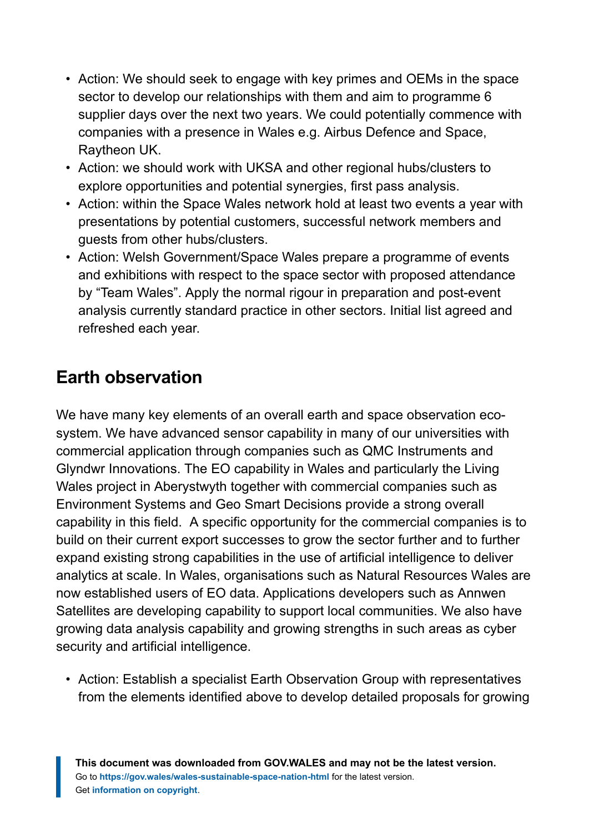- Action: We should seek to engage with key primes and OEMs in the space sector to develop our relationships with them and aim to programme 6 supplier days over the next two years. We could potentially commence with companies with a presence in Wales e.g. Airbus Defence and Space, Raytheon UK.
- Action: we should work with UKSA and other regional hubs/clusters to explore opportunities and potential synergies, first pass analysis.
- Action: within the Space Wales network hold at least two events a year with presentations by potential customers, successful network members and guests from other hubs/clusters.
- Action: Welsh Government/Space Wales prepare a programme of events and exhibitions with respect to the space sector with proposed attendance by "Team Wales". Apply the normal rigour in preparation and post-event analysis currently standard practice in other sectors. Initial list agreed and refreshed each year.

## **Earth observation**

We have many key elements of an overall earth and space observation ecosystem. We have advanced sensor capability in many of our universities with commercial application through companies such as QMC Instruments and Glyndwr Innovations. The EO capability in Wales and particularly the Living Wales project in Aberystwyth together with commercial companies such as Environment Systems and Geo Smart Decisions provide a strong overall capability in this field. A specific opportunity for the commercial companies is to build on their current export successes to grow the sector further and to further expand existing strong capabilities in the use of artificial intelligence to deliver analytics at scale. In Wales, organisations such as Natural Resources Wales are now established users of EO data. Applications developers such as Annwen Satellites are developing capability to support local communities. We also have growing data analysis capability and growing strengths in such areas as cyber security and artificial intelligence.

• Action: Establish a specialist Earth Observation Group with representatives from the elements identified above to develop detailed proposals for growing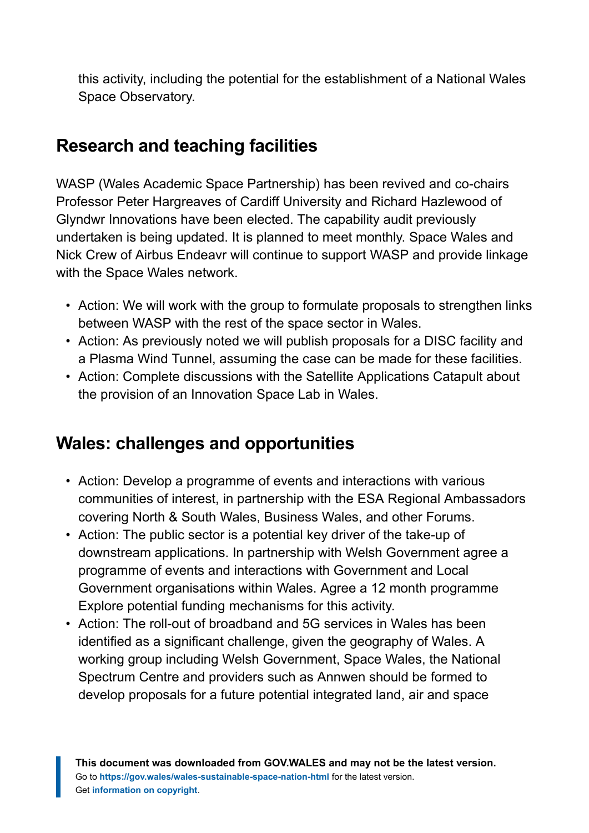this activity, including the potential for the establishment of a National Wales Space Observatory.

## **Research and teaching facilities**

WASP (Wales Academic Space Partnership) has been revived and co-chairs Professor Peter Hargreaves of Cardiff University and Richard Hazlewood of Glyndwr Innovations have been elected. The capability audit previously undertaken is being updated. It is planned to meet monthly. Space Wales and Nick Crew of Airbus Endeavr will continue to support WASP and provide linkage with the Space Wales network.

- Action: We will work with the group to formulate proposals to strengthen links between WASP with the rest of the space sector in Wales.
- Action: As previously noted we will publish proposals for a DISC facility and a Plasma Wind Tunnel, assuming the case can be made for these facilities.
- Action: Complete discussions with the Satellite Applications Catapult about the provision of an Innovation Space Lab in Wales.

### **Wales: challenges and opportunities**

- Action: Develop a programme of events and interactions with various communities of interest, in partnership with the ESA Regional Ambassadors covering North & South Wales, Business Wales, and other Forums.
- Action: The public sector is a potential key driver of the take-up of downstream applications. In partnership with Welsh Government agree a programme of events and interactions with Government and Local Government organisations within Wales. Agree a 12 month programme Explore potential funding mechanisms for this activity.
- Action: The roll-out of broadband and 5G services in Wales has been identified as a significant challenge, given the geography of Wales. A working group including Welsh Government, Space Wales, the National Spectrum Centre and providers such as Annwen should be formed to develop proposals for a future potential integrated land, air and space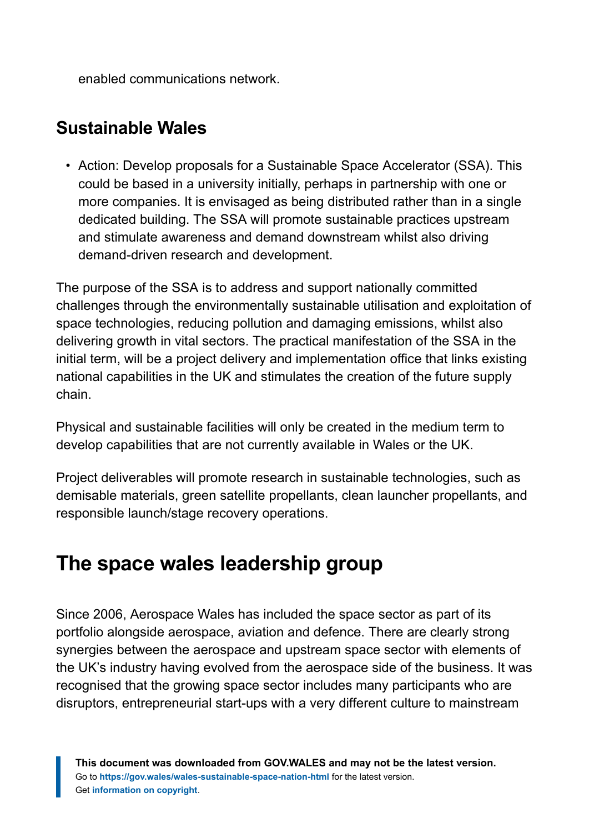enabled communications network.

### **Sustainable Wales**

• Action: Develop proposals for a Sustainable Space Accelerator (SSA). This could be based in a university initially, perhaps in partnership with one or more companies. It is envisaged as being distributed rather than in a single dedicated building. The SSA will promote sustainable practices upstream and stimulate awareness and demand downstream whilst also driving demand-driven research and development.

The purpose of the SSA is to address and support nationally committed challenges through the environmentally sustainable utilisation and exploitation of space technologies, reducing pollution and damaging emissions, whilst also delivering growth in vital sectors. The practical manifestation of the SSA in the initial term, will be a project delivery and implementation office that links existing national capabilities in the UK and stimulates the creation of the future supply chain.

Physical and sustainable facilities will only be created in the medium term to develop capabilities that are not currently available in Wales or the UK.

Project deliverables will promote research in sustainable technologies, such as demisable materials, green satellite propellants, clean launcher propellants, and responsible launch/stage recovery operations.

# <span id="page-39-0"></span>**The space wales leadership group**

Since 2006, Aerospace Wales has included the space sector as part of its portfolio alongside aerospace, aviation and defence. There are clearly strong synergies between the aerospace and upstream space sector with elements of the UK's industry having evolved from the aerospace side of the business. It was recognised that the growing space sector includes many participants who are disruptors, entrepreneurial start-ups with a very different culture to mainstream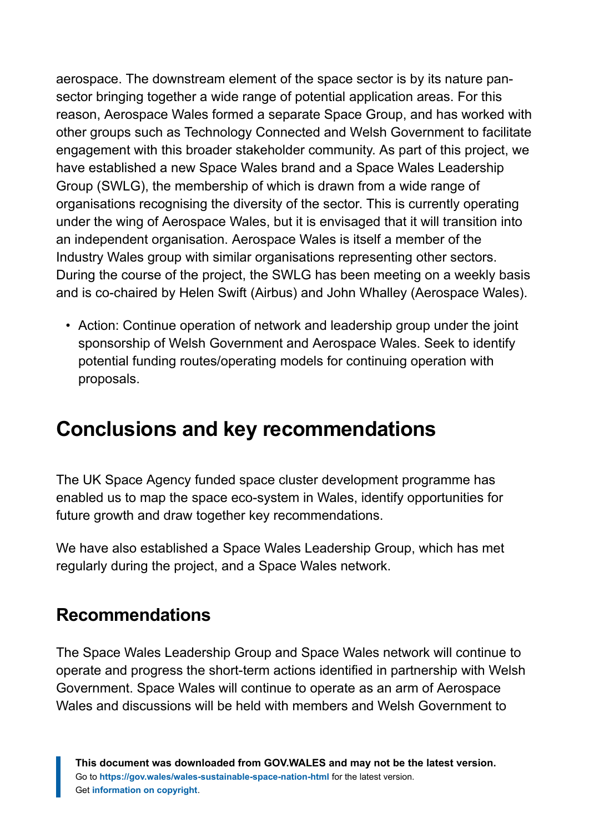aerospace. The downstream element of the space sector is by its nature pansector bringing together a wide range of potential application areas. For this reason, Aerospace Wales formed a separate Space Group, and has worked with other groups such as Technology Connected and Welsh Government to facilitate engagement with this broader stakeholder community. As part of this project, we have established a new Space Wales brand and a Space Wales Leadership Group (SWLG), the membership of which is drawn from a wide range of organisations recognising the diversity of the sector. This is currently operating under the wing of Aerospace Wales, but it is envisaged that it will transition into an independent organisation. Aerospace Wales is itself a member of the Industry Wales group with similar organisations representing other sectors. During the course of the project, the SWLG has been meeting on a weekly basis and is co-chaired by Helen Swift (Airbus) and John Whalley (Aerospace Wales).

• Action: Continue operation of network and leadership group under the joint sponsorship of Welsh Government and Aerospace Wales. Seek to identify potential funding routes/operating models for continuing operation with proposals.

# <span id="page-40-0"></span>**Conclusions and key recommendations**

The UK Space Agency funded space cluster development programme has enabled us to map the space eco-system in Wales, identify opportunities for future growth and draw together key recommendations.

We have also established a Space Wales Leadership Group, which has met regularly during the project, and a Space Wales network.

### **Recommendations**

The Space Wales Leadership Group and Space Wales network will continue to operate and progress the short-term actions identified in partnership with Welsh Government. Space Wales will continue to operate as an arm of Aerospace Wales and discussions will be held with members and Welsh Government to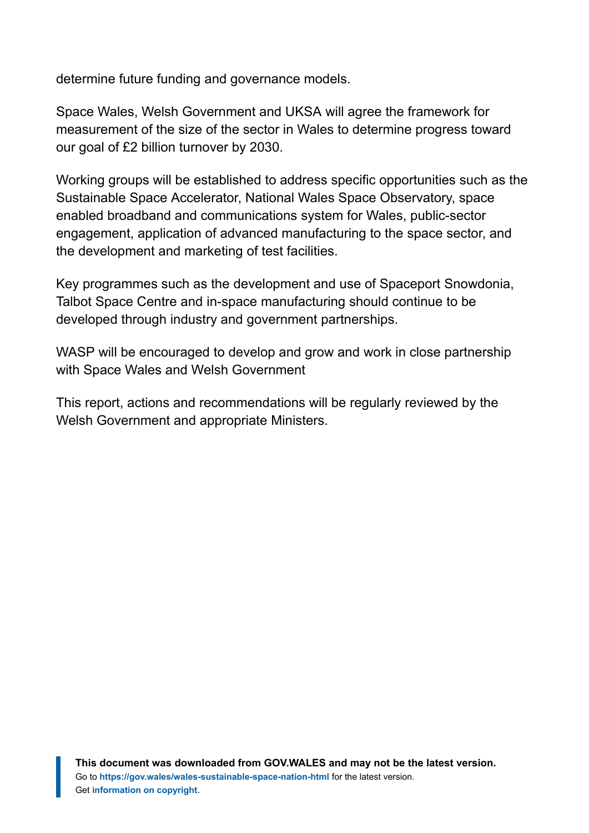determine future funding and governance models.

Space Wales, Welsh Government and UKSA will agree the framework for measurement of the size of the sector in Wales to determine progress toward our goal of £2 billion turnover by 2030.

Working groups will be established to address specific opportunities such as the Sustainable Space Accelerator, National Wales Space Observatory, space enabled broadband and communications system for Wales, public-sector engagement, application of advanced manufacturing to the space sector, and the development and marketing of test facilities.

Key programmes such as the development and use of Spaceport Snowdonia, Talbot Space Centre and in-space manufacturing should continue to be developed through industry and government partnerships.

WASP will be encouraged to develop and grow and work in close partnership with Space Wales and Welsh Government

This report, actions and recommendations will be regularly reviewed by the Welsh Government and appropriate Ministers.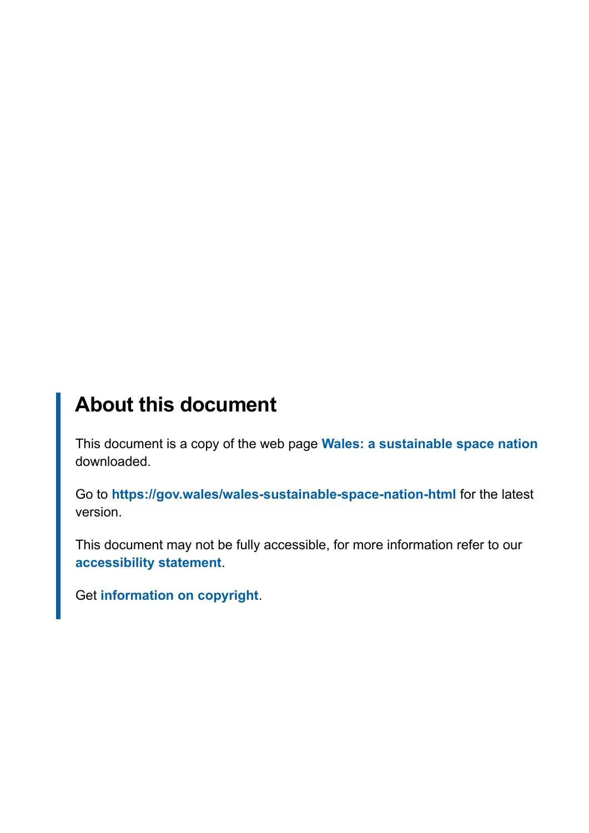# **About this document**

This document is a copy of the web page **[Wales: a sustainable space nation](https://gov.wales/wales-sustainable-space-nation-html)** downloaded.

Go to **<https://gov.wales/wales-sustainable-space-nation-html>** for the latest version.

This document may not be fully accessible, for more information refer to our **[accessibility statement](https://gov.wales/accessibility-statement-govwales)**.

Get **[information on copyright](https://gov.wales/copyright-statement)**.